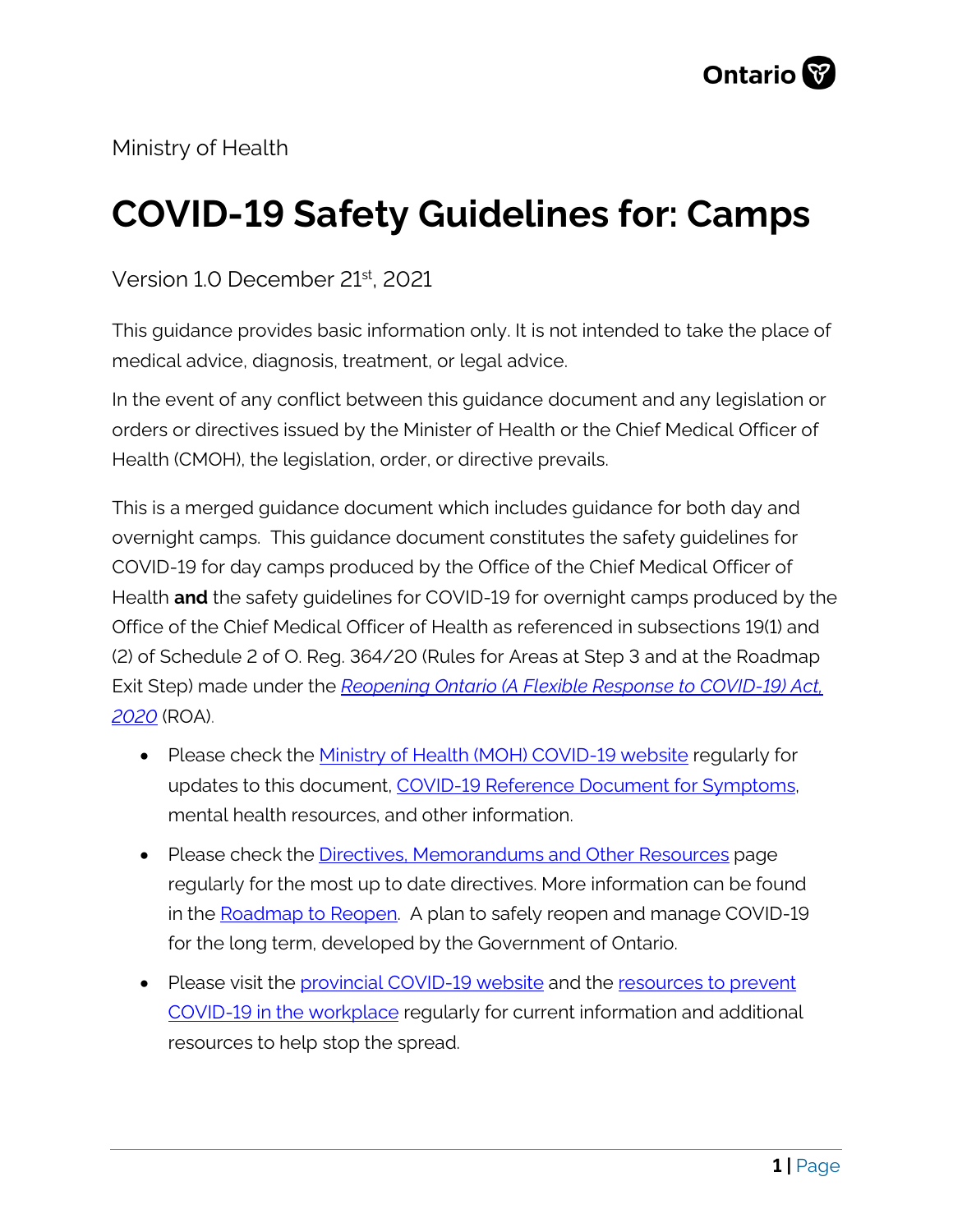

Ministry of Health

# **COVID-19 Safety Guidelines for: Camps**

Version 1.0 December 21st, 2021

This guidance provides basic information only. It is not intended to take the place of medical advice, diagnosis, treatment, or legal advice.

In the event of any conflict between this guidance document and any legislation or orders or directives issued by the Minister of Health or the Chief Medical Officer of Health (CMOH), the legislation, order, or directive prevails.

This is a merged guidance document which includes guidance for both day and overnight camps. This guidance document constitutes the safety guidelines for COVID-19 for day camps produced by the Office of the Chief Medical Officer of Health **and** the safety guidelines for COVID-19 for overnight camps produced by the Office of the Chief Medical Officer of Health as referenced in subsections 19(1) and (2) of Schedule 2 of O. Reg. 364/20 (Rules for Areas at Step 3 and at the Roadmap Exit Step) made under the *[Reopening Ontario \(A Flexible Response to COVID-19\) Act,](https://www.ontario.ca/laws/statute/20r17)  [2020](https://www.ontario.ca/laws/statute/20r17)* (ROA).

- Please check the [Ministry of Health \(MOH\) COVID-19 website](http://www.health.gov.on.ca/en/pro/programs/publichealth/coronavirus/2019_guidance.aspx) regularly for updates to this document, COVID-19 Reference Document for Symptoms, mental health resources, and other information.
- Please check the [Directives, Memorandums and Other Resources](http://www.health.gov.on.ca/en/pro/programs/publichealth/coronavirus/dir_mem_res.aspx) page regularly for the most up to date directives. More information can be found in the [Roadmap to Reopen.](https://files.ontario.ca/moh-plan-to-safely-reopen-ontario-en-2021-10-22.pdf) A plan to safely reopen and manage COVID-19 for the long term, developed by the Government of Ontario.
- Please visit the *provincial COVID-19* website and the resources to prevent [COVID-19 in the workplace](https://www.ontario.ca/page/resources-prevent-covid-19-workplace) regularly for current information and additional resources to help stop the spread.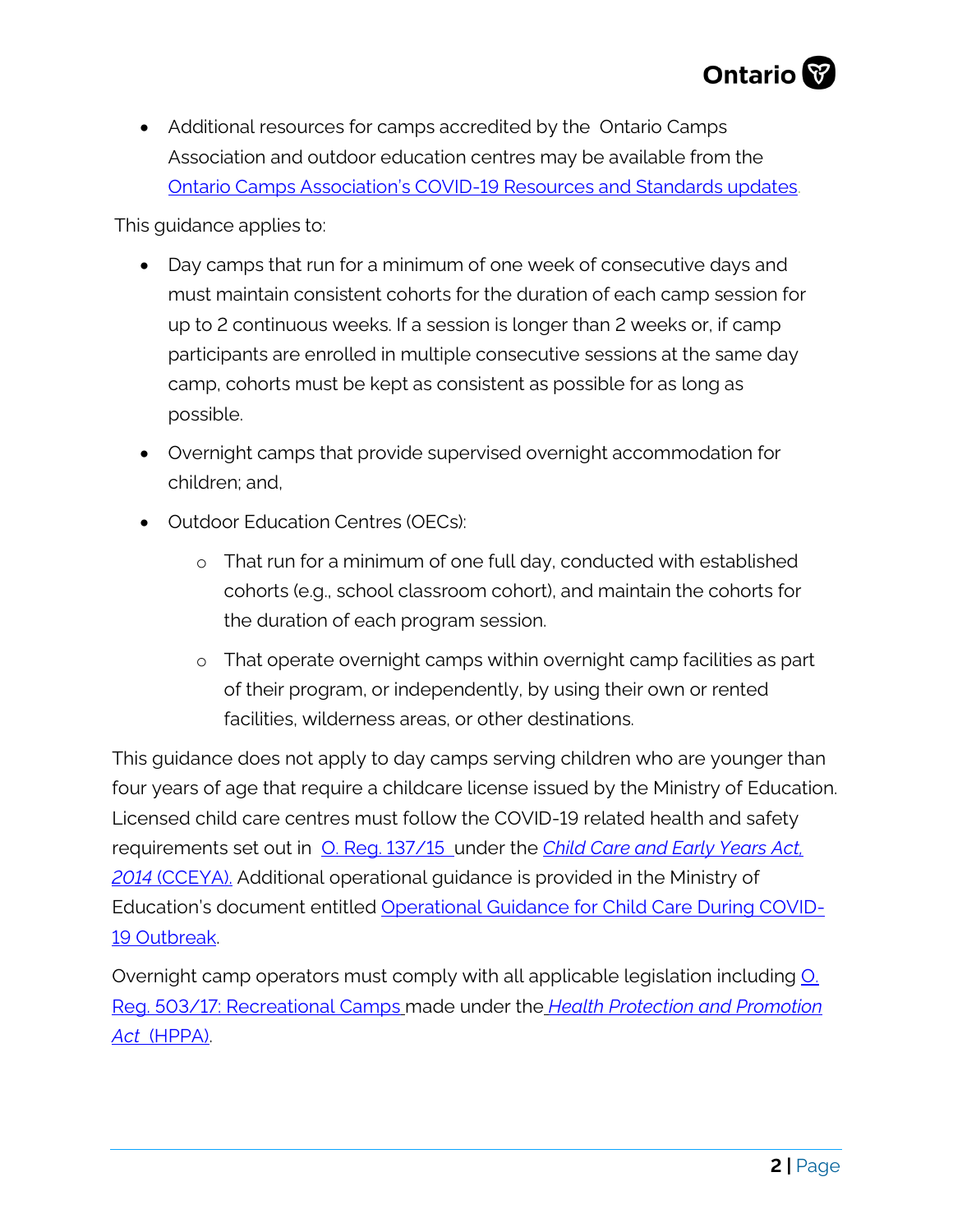

• Additional resources for camps accredited by the Ontario Camps Association and outdoor education centres may be available from th[e](https://ontariocampsassociation.ca/covid-19-resources/) [Ontario Camps Association's COVID-19 Resources and Standards updates.](https://ontariocampsassociation.ca/covid-19-resources/)

This guidance applies to:

- Day camps that run for a minimum of one week of consecutive days and must maintain consistent cohorts for the duration of each camp session for up to 2 continuous weeks. If a session is longer than 2 weeks or, if camp participants are enrolled in multiple consecutive sessions at the same day camp, cohorts must be kept as consistent as possible for as long as possible.
- Overnight camps that provide supervised overnight accommodation for children; and,
- Outdoor Education Centres (OECs):
	- o That run for a minimum of one full day, conducted with established cohorts (e.g., school classroom cohort), and maintain the cohorts for the duration of each program session.
	- o That operate overnight camps within overnight camp facilities as part of their program, or independently, by using their own or rented facilities, wilderness areas, or other destinations.

This guidance does not apply to day camps serving children who are younger than four years of age that require a childcare license issued by the Ministry of Education. Licensed child care centres must follow the COVID-19 related health and safety requirements set out in [O. Reg. 137/15](https://www.ontario.ca/laws/regulation/150137) under the *[Child Care and Early Years Act,](https://www.ontario.ca/laws/statute/14c11)  2014* [\(CCEYA\).](https://www.ontario.ca/laws/statute/14c11) Additional operational guidance is provided in the Ministry of Education's document entitled [Operational Guidance for Child Care During COVID-](https://files.ontario.ca/edu-operational-guidance-child-care-during-covid-19-en-2021-08-10.pdf)[19 Outbreak.](https://files.ontario.ca/edu-operational-guidance-child-care-during-covid-19-en-2021-08-10.pdf)

Overnight camp operators must comply with all applicable legislation including **O**. Reg. [503/17: Recreational Camps](https://www.ontario.ca/laws/regulation/170503) made under the *[Health Protection and Promotion](https://www.ontario.ca/laws/statute/90h07)  [Act](https://www.ontario.ca/laws/statute/90h07)* (HPPA).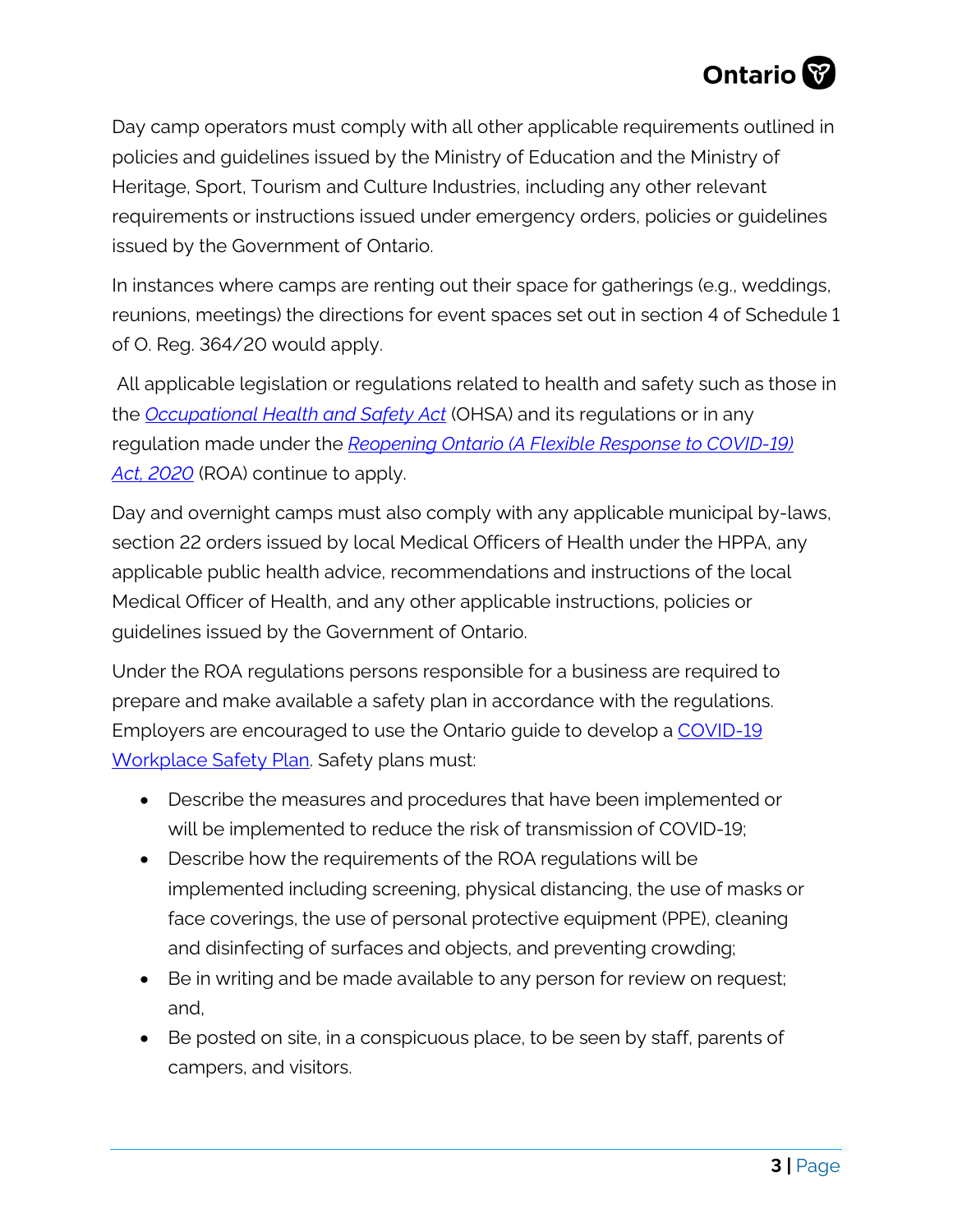

Day camp operators must comply with all other applicable requirements outlined in policies and guidelines issued by the Ministry of Education and the Ministry of Heritage, Sport, Tourism and Culture Industries, including any other relevant requirements or instructions issued under emergency orders, policies or guidelines issued by the Government of Ontario.

In instances where camps are renting out their space for gatherings (e.g., weddings, reunions, meetings) the directions for event spaces set out in section 4 of Schedule 1 of O. Reg. 364/20 would apply.

All applicable legislation or regulations related to health and safety such as those in the *[Occupational Health and Safety Act](https://www.ontario.ca/laws/statute/90o01)* (OHSA) and its regulations or in any regulation made under the *[Reopening Ontario \(A Flexible Response to COVID-19\)](https://www.ontario.ca/laws/statute/20r17)  Act, [2020](https://www.ontario.ca/laws/statute/20r17)* (ROA) continue to apply.

Day and overnight camps must also comply with any applicable municipal by-laws, section 22 orders issued by local Medical Officers of Health under the HPPA, any applicable public health advice, recommendations and instructions of the local Medical Officer of Health, and any other applicable instructions, policies or guidelines issued by the Government of Ontario.

Under the ROA regulations persons responsible for a business are required to prepare and make available a safety plan in accordance with the regulations. Employers are encouraged to use the Ontario guide to develop a [COVID-19](https://www.ontario.ca/page/develop-your-covid-19-workplace-safety-plan)  [Workplace Safety Plan.](https://www.ontario.ca/page/develop-your-covid-19-workplace-safety-plan) Safety plans must:

- Describe the measures and procedures that have been implemented or will be implemented to reduce the risk of transmission of COVID-19;
- Describe how the requirements of the ROA regulations will be implemented including screening, physical distancing, the use of masks or face coverings, the use of personal protective equipment (PPE), cleaning and disinfecting of surfaces and objects, and preventing crowding;
- Be in writing and be made available to any person for review on request; and,
- Be posted on site, in a conspicuous place, to be seen by staff, parents of campers, and visitors.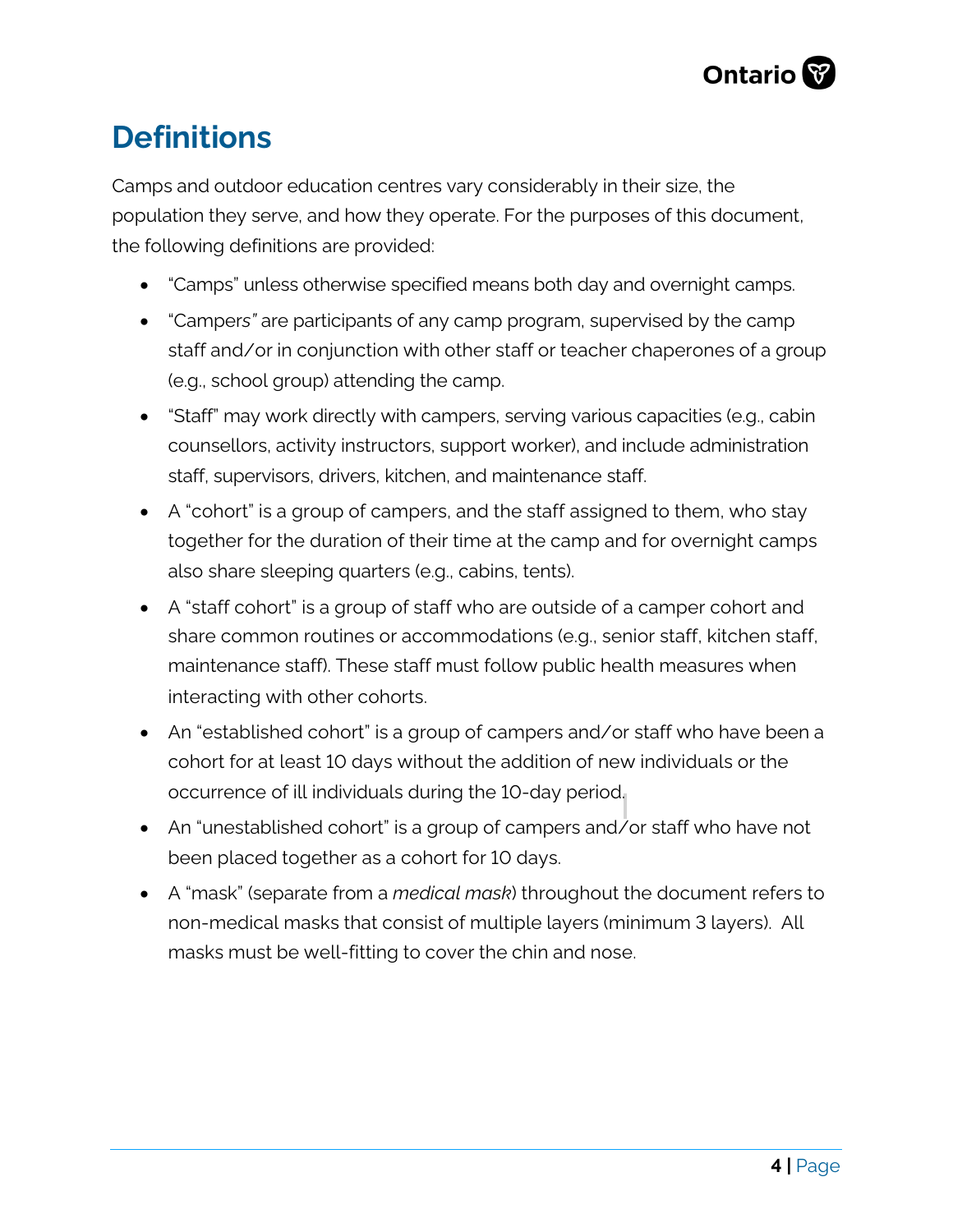

# **Definitions**

Camps and outdoor education centres vary considerably in their size, the population they serve, and how they operate. For the purposes of this document, the following definitions are provided:

- "Camps" unless otherwise specified means both day and overnight camps.
- "Camper*s"* are participants of any camp program, supervised by the camp staff and/or in conjunction with other staff or teacher chaperones of a group (e.g., school group) attending the camp.
- "Staff" may work directly with campers, serving various capacities (e.g., cabin counsellors, activity instructors, support worker), and include administration staff, supervisors, drivers, kitchen, and maintenance staff.
- A "cohort" is a group of campers, and the staff assigned to them, who stay together for the duration of their time at the camp and for overnight camps also share sleeping quarters (e.g., cabins, tents).
- A "staff cohort" is a group of staff who are outside of a camper cohort and share common routines or accommodations (e.g., senior staff, kitchen staff, maintenance staff). These staff must follow public health measures when interacting with other cohorts.
- An "established cohort" is a group of campers and/or staff who have been a cohort for at least 10 days without the addition of new individuals or the occurrence of ill individuals during the 10-day period.
- An "unestablished cohort" is a group of campers and/or staff who have not been placed together as a cohort for 10 days.
- A "mask" (separate from a *medical mask*) throughout the document refers to non-medical masks that consist of multiple layers (minimum 3 layers). All masks must be well-fitting to cover the chin and nose.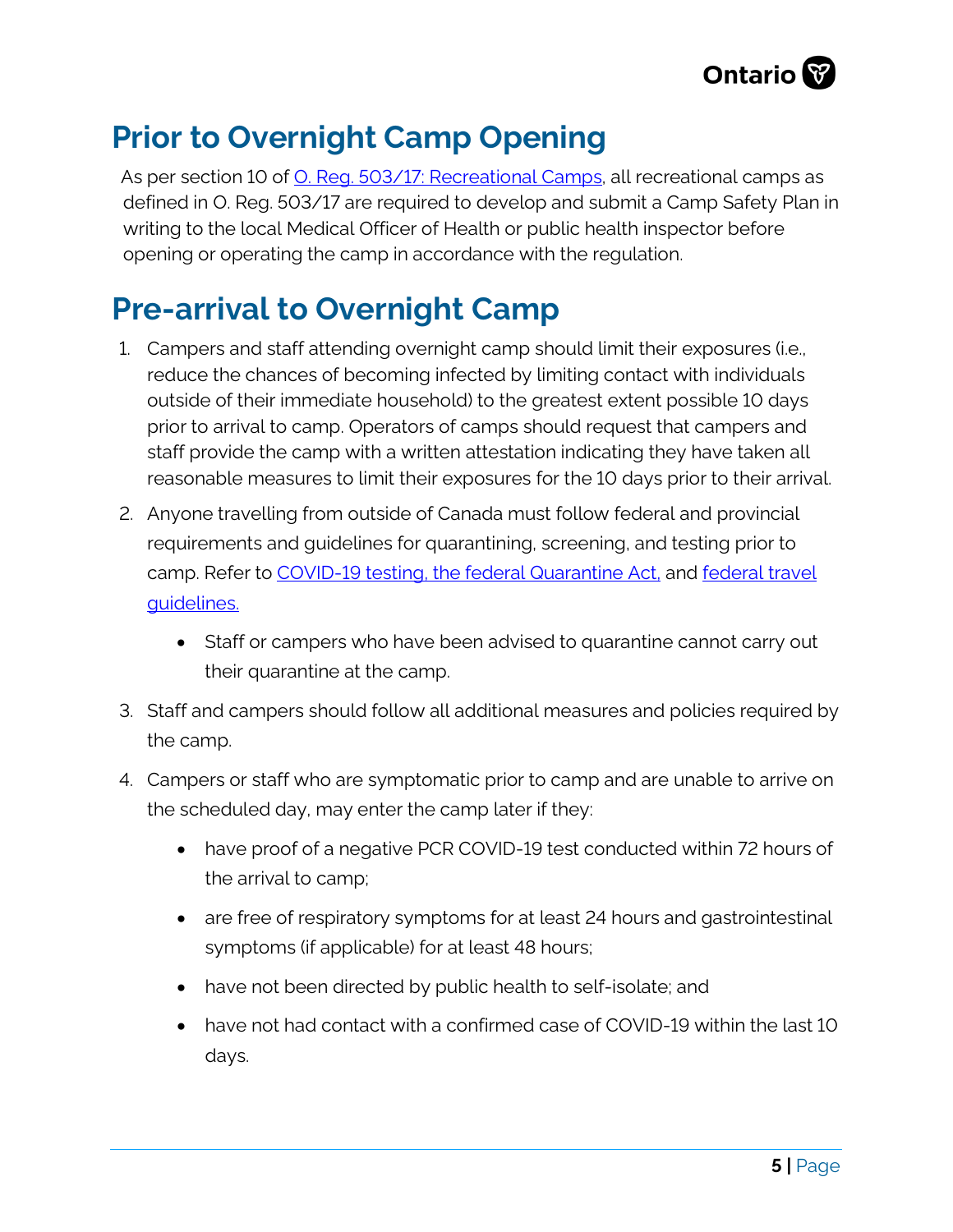

# **Prior to Overnight Camp Opening**

As per section 10 of **O.** Reg. 503/17: Recreational Camps, all recreational camps as defined in O. Reg. 503/17 are required to develop and submit a Camp Safety Plan in writing to the local Medical Officer of Health or public health inspector before opening or operating the camp in accordance with the regulation.

# **Pre-arrival to Overnight Camp**

- 1. Campers and staff attending overnight camp should limit their exposures (i.e., reduce the chances of becoming infected by limiting contact with individuals outside of their immediate household) to the greatest extent possible 10 days prior to arrival to camp. Operators of camps should request that campers and staff provide the camp with a written attestation indicating they have taken all reasonable measures to limit their exposures for the 10 days prior to their arrival.
- 2. Anyone travelling from outside of Canada must follow federal and provincial requirements and guidelines for quarantining, screening, and testing prior to camp. Refer to [COVID-19 testing,](https://health.gov.on.ca/en/pro/programs/publichealth/coronavirus/docs/2019_testing_guidance.pdf) the federal [Quarantine Act,](https://laws-lois.justice.gc.ca/eng/acts/q-1.1/FullText.html) and [federal travel](https://www.canada.ca/en/public-health/services/diseases/2019-novel-coronavirus-infection/latest-travel-health-advice.html)  [guidelines.](https://www.canada.ca/en/public-health/services/diseases/2019-novel-coronavirus-infection/latest-travel-health-advice.html)
	- Staff or campers who have been advised to quarantine cannot carry out their quarantine at the camp.
- 3. Staff and campers should follow all additional measures and policies required by the camp.
- 4. Campers or staff who are symptomatic prior to camp and are unable to arrive on the scheduled day, may enter the camp later if they:
	- have proof of a negative PCR COVID-19 test conducted within 72 hours of the arrival to camp;
	- are free of respiratory symptoms for at least 24 hours and gastrointestinal symptoms (if applicable) for at least 48 hours;
	- have not been directed by public health to self-isolate; and
	- have not had contact with a confirmed case of COVID-19 within the last 10 days.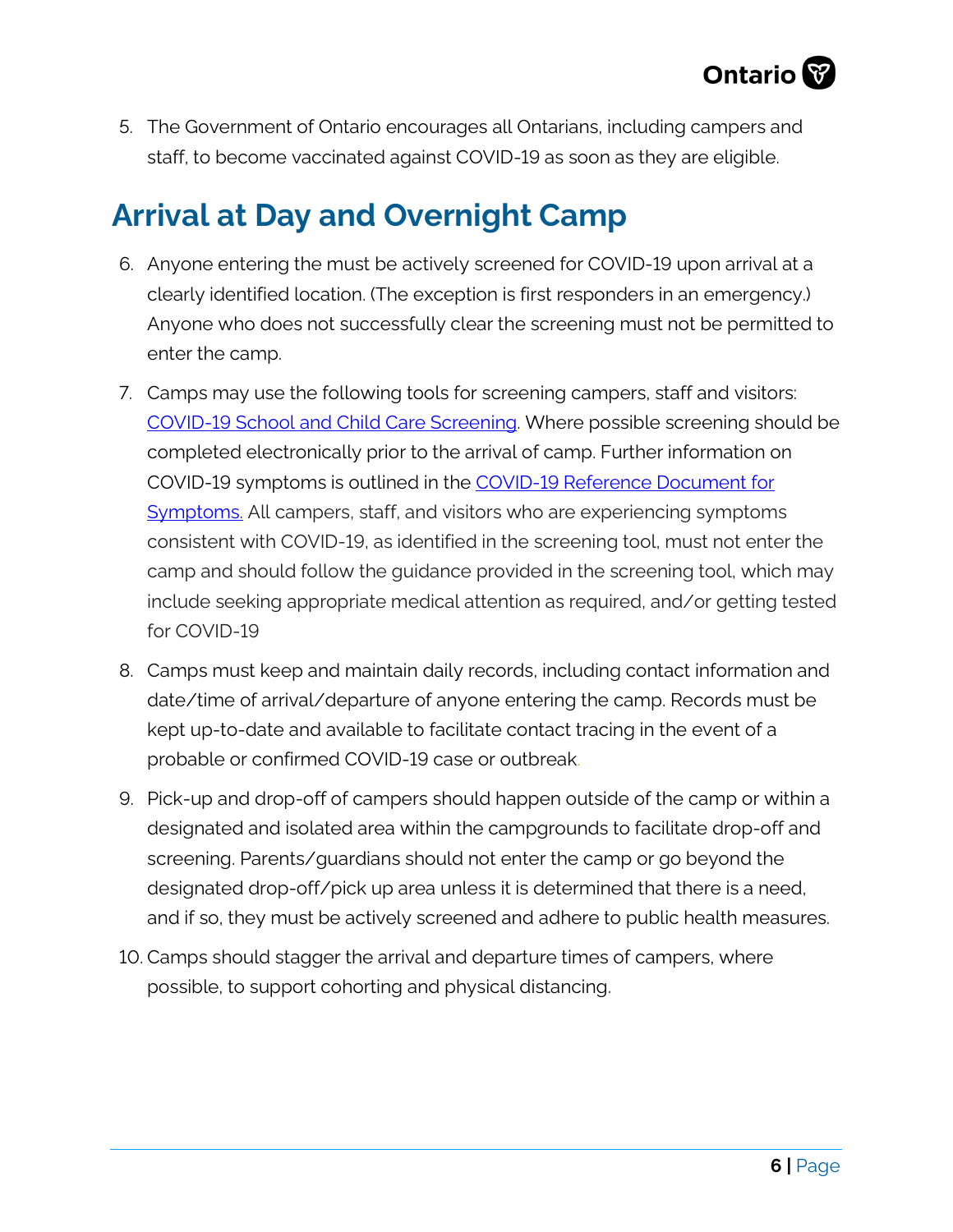

5. The Government of Ontario encourages all Ontarians, including campers and staff, to become vaccinated against COVID-19 as soon as they are eligible.

# **Arrival at Day and Overnight Camp**

- 6. Anyone entering the must be actively screened for COVID-19 upon arrival at a clearly identified location. (The exception is first responders in an emergency.) Anyone who does not successfully clear the screening must not be permitted to enter the camp.
- 7. Camps may use the following tools for screening campers, staff and visitors: [COVID-19 School and Child Care Screening.](https://covid-19.ontario.ca/school-screening/) Where possible screening should be completed electronically prior to the arrival of camp. Further information on COVID-19 symptoms is outlined in the [COVID-19 Reference Document for](https://www.health.gov.on.ca/en/pro/programs/publichealth/coronavirus/docs/2019_reference_doc_symptoms.pdf)  [Symptoms.](https://www.health.gov.on.ca/en/pro/programs/publichealth/coronavirus/docs/2019_reference_doc_symptoms.pdf) All campers, staff, and visitors who are experiencing symptoms consistent with COVID-19, as identified in the screening tool, must not enter the camp and should follow the guidance provided in the screening tool, which may include seeking appropriate medical attention as required, and/or getting tested for COVID-19
- 8. Camps must keep and maintain daily records, including contact information and date/time of arrival/departure of anyone entering the camp. Records must be kept up-to-date and available to facilitate contact tracing in the event of a probable or confirmed COVID-19 case or outbreak.
- 9. Pick-up and drop-off of campers should happen outside of the camp or within a designated and isolated area within the campgrounds to facilitate drop-off and screening. Parents/guardians should not enter the camp or go beyond the designated drop-off/pick up area unless it is determined that there is a need, and if so, they must be actively screened and adhere to public health measures.
- 10. Camps should stagger the arrival and departure times of campers, where possible, to support cohorting and physical distancing.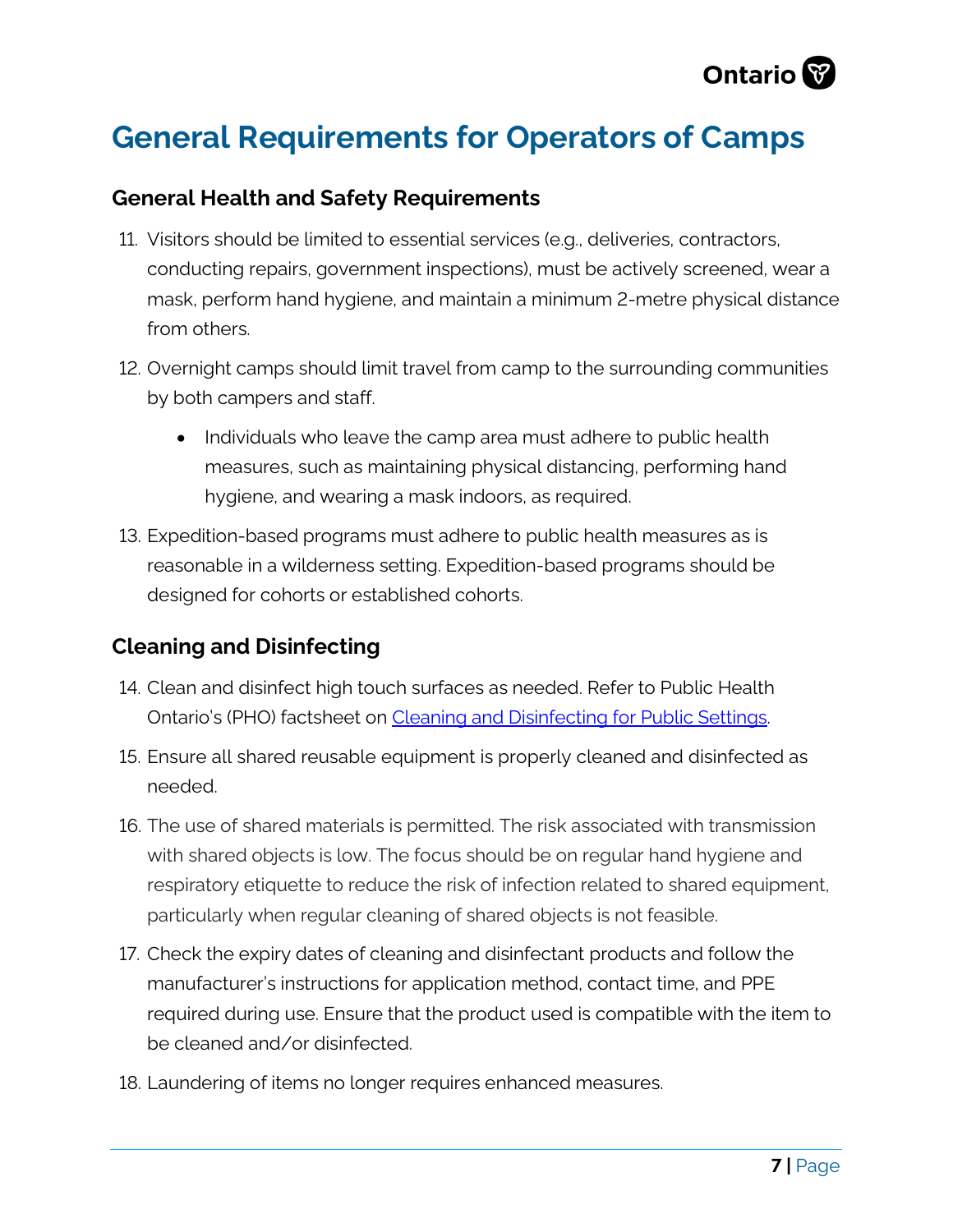

# **General Requirements for Operators of Camps**

#### **General Health and Safety Requirements**

- 11. Visitors should be limited to essential services (e.g., deliveries, contractors, conducting repairs, government inspections), must be actively screened, wear a mask, perform hand hygiene, and maintain a minimum 2-metre physical distance from others.
- 12. Overnight camps should limit travel from camp to the surrounding communities by both campers and staff.
	- Individuals who leave the camp area must adhere to public health measures, such as maintaining physical distancing, performing hand hygiene, and wearing a mask indoors, as required.
- 13. Expedition-based programs must adhere to public health measures as is reasonable in a wilderness setting. Expedition-based programs should be designed for cohorts or established cohorts.

## **Cleaning and Disinfecting**

- 14. Clean and disinfect high touch surfaces as needed. Refer to Public Health Ontario's (PHO) factsheet on [Cleaning and Disinfecting for Public Settings.](https://www.publichealthontario.ca/-/media/documents/ncov/factsheet-covid-19-environmental-cleaning.pdf?la=en)
- 15. Ensure all shared reusable equipment is properly cleaned and disinfected as needed.
- 16. The use of shared materials is permitted. The risk associated with transmission with shared objects is low. The focus should be on regular hand hygiene and respiratory etiquette to reduce the risk of infection related to shared equipment, particularly when regular cleaning of shared objects is not feasible.
- 17. Check the expiry dates of cleaning and disinfectant products and follow the manufacturer's instructions for application method, contact time, and PPE required during use. Ensure that the product used is compatible with the item to be cleaned and/or disinfected.
- 18. Laundering of items no longer requires enhanced measures.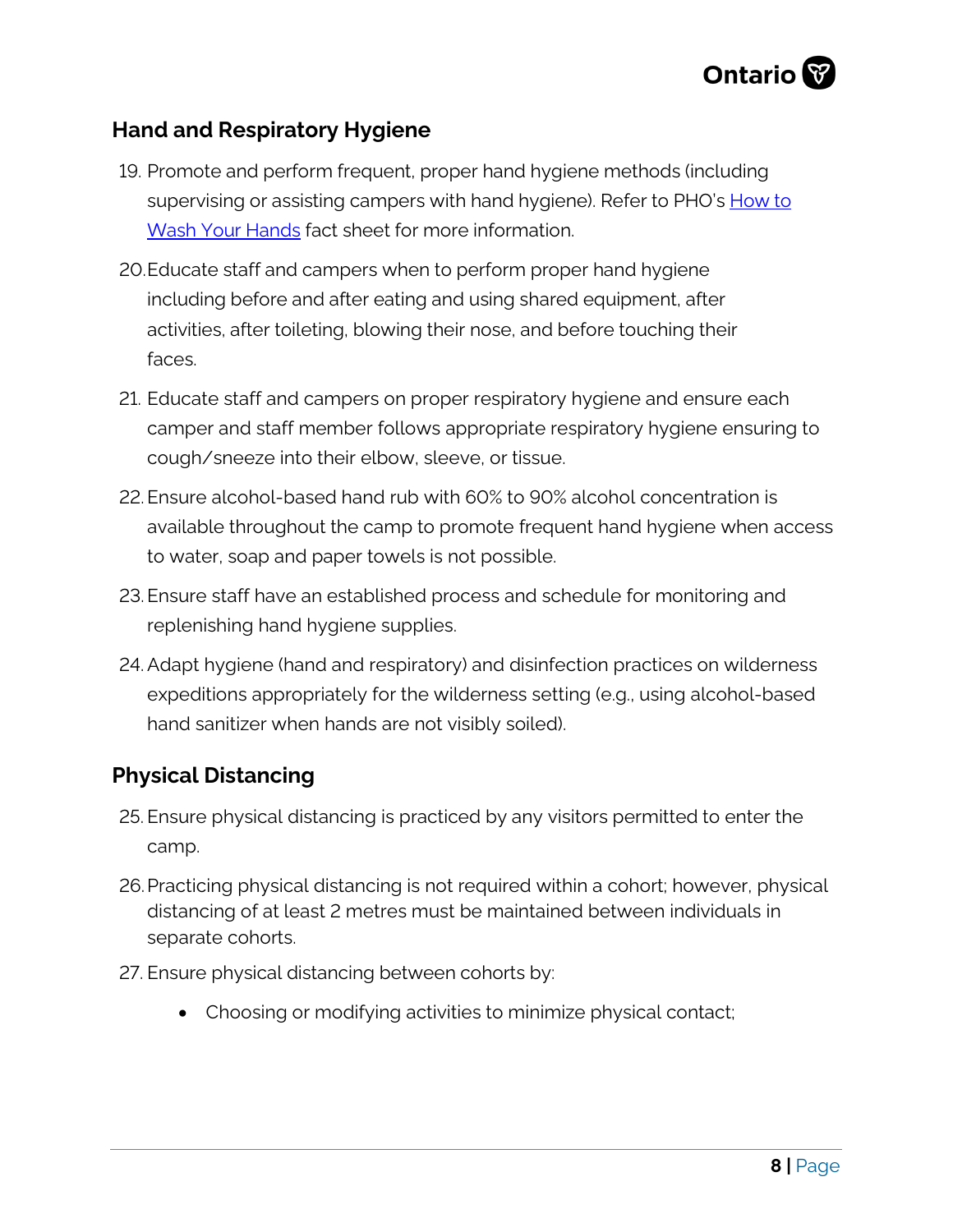

## **Hand and Respiratory Hygiene**

- 19. Promote and perform frequent, proper hand hygiene methods (including supervising or assisting campers with hand hygiene). Refer to PHO's [How to](https://www.publichealthontario.ca/-/media/documents/ncov/factsheet/factsheet-covid-19-hand-hygiene.pdf?la=en)  [Wash Your Hands](https://www.publichealthontario.ca/-/media/documents/ncov/factsheet/factsheet-covid-19-hand-hygiene.pdf?la=en) fact sheet for more information.
- 20.Educate staff and campers when to perform proper hand hygiene including before and after eating and using shared equipment, after activities, after toileting, blowing their nose, and before touching their faces.
- 21. Educate staff and campers on proper respiratory hygiene and ensure each camper and staff member follows appropriate respiratory hygiene ensuring to cough/sneeze into their elbow, sleeve, or tissue.
- 22.Ensure alcohol-based hand rub with 60% to 90% alcohol concentration is available throughout the camp to promote frequent hand hygiene when access to water, soap and paper towels is not possible.
- 23.Ensure staff have an established process and schedule for monitoring and replenishing hand hygiene supplies.
- 24.Adapt hygiene (hand and respiratory) and disinfection practices on wilderness expeditions appropriately for the wilderness setting (e.g., using alcohol-based hand sanitizer when hands are not visibly soiled).

## **Physical Distancing**

- 25. Ensure physical distancing is practiced by any visitors permitted to enter the camp.
- 26.Practicing physical distancing is not required within a cohort; however, physical distancing of at least 2 metres must be maintained between individuals in separate cohorts.
- 27. Ensure physical distancing between cohorts by:
	- Choosing or modifying activities to minimize physical contact;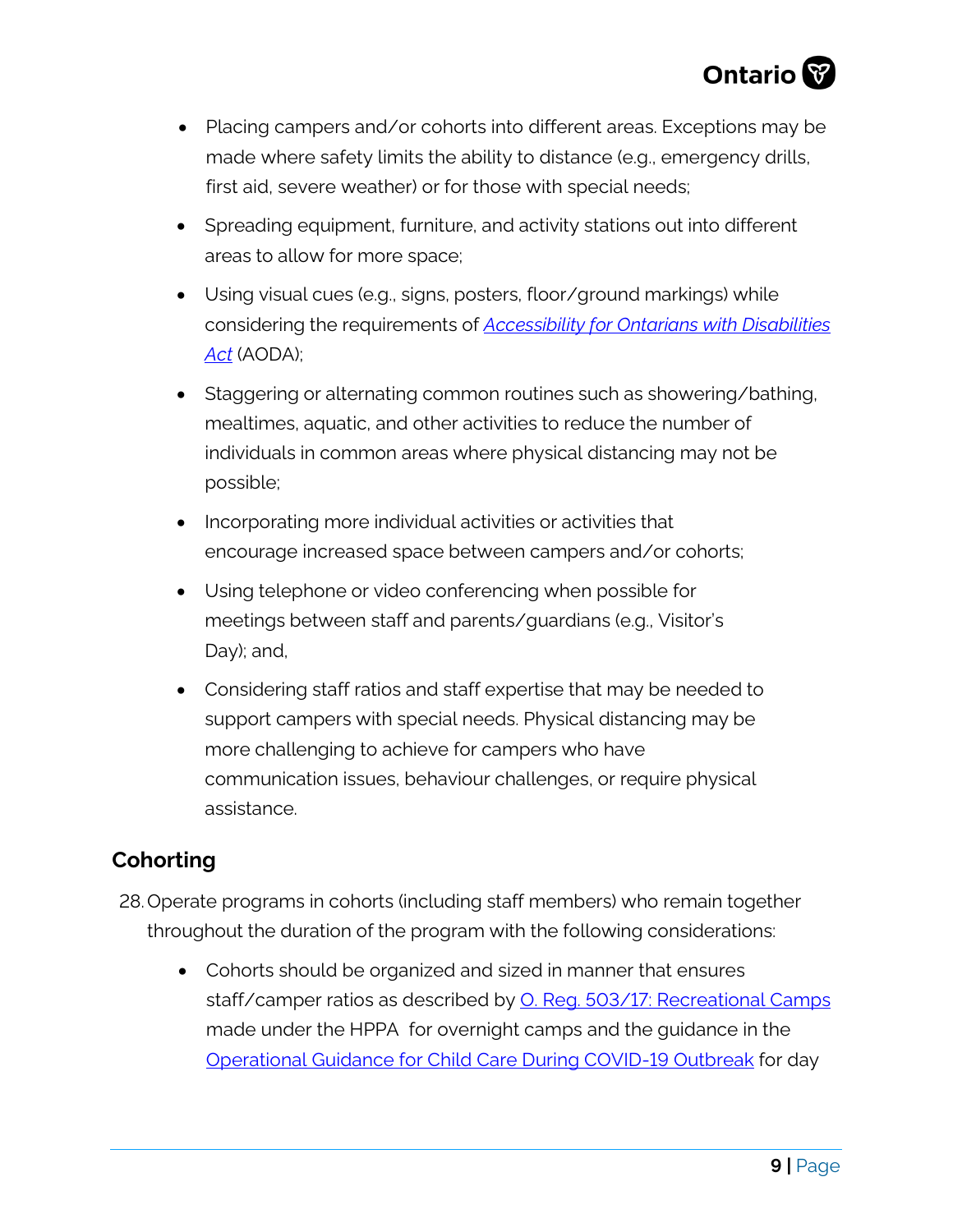

- Placing campers and/or cohorts into different areas. Exceptions may be made where safety limits the ability to distance (e.g., emergency drills, first aid, severe weather) or for those with special needs;
- Spreading equipment, furniture, and activity stations out into different areas to allow for more space;
- Using visual cues (e.g., signs, posters, floor/ground markings) while considering the requirements of *[Accessibility for Ontarians with Disabilities](https://www.ontario.ca/page/about-accessibility-laws#:%7E:text=The%20Accessibility%20for%20Ontarians%20with%20Disabilities%20Act%20(AODA)%20is%20a,developing%20and%20enforcing%20accessibility%20standards.&text=Implementing%20and%20enforcing%20these%20standards,accessible%20and%20inclusive%20by%202025.)  [Act](https://www.ontario.ca/page/about-accessibility-laws#:%7E:text=The%20Accessibility%20for%20Ontarians%20with%20Disabilities%20Act%20(AODA)%20is%20a,developing%20and%20enforcing%20accessibility%20standards.&text=Implementing%20and%20enforcing%20these%20standards,accessible%20and%20inclusive%20by%202025.)* (AODA);
- Staggering or alternating common routines such as showering/bathing, mealtimes, aquatic, and other activities to reduce the number of individuals in common areas where physical distancing may not be possible;
- Incorporating more individual activities or activities that encourage increased space between campers and/or cohorts;
- Using telephone or video conferencing when possible for meetings between staff and parents/guardians (e.g., Visitor's Day); and,
- Considering staff ratios and staff expertise that may be needed to support campers with special needs. Physical distancing may be more challenging to achieve for campers who have communication issues, behaviour challenges, or require physical assistance.

## **Cohorting**

- 28.Operate programs in cohorts (including staff members) who remain together throughout the duration of the program with the following considerations:
	- Cohorts should be organized and sized in manner that ensures staff/camper ratios as described by [O. Reg. 503/17: Recreational Camps](https://www.ontario.ca/laws/regulation/170503) made under the HPPA for overnight camps and the guidance in the [Operational Guidance for Child Care During COVID-19 Outbreak](https://files.ontario.ca/edu-operational-guidance-child-care-during-covid-19-en-2021-08-10.pdf) for day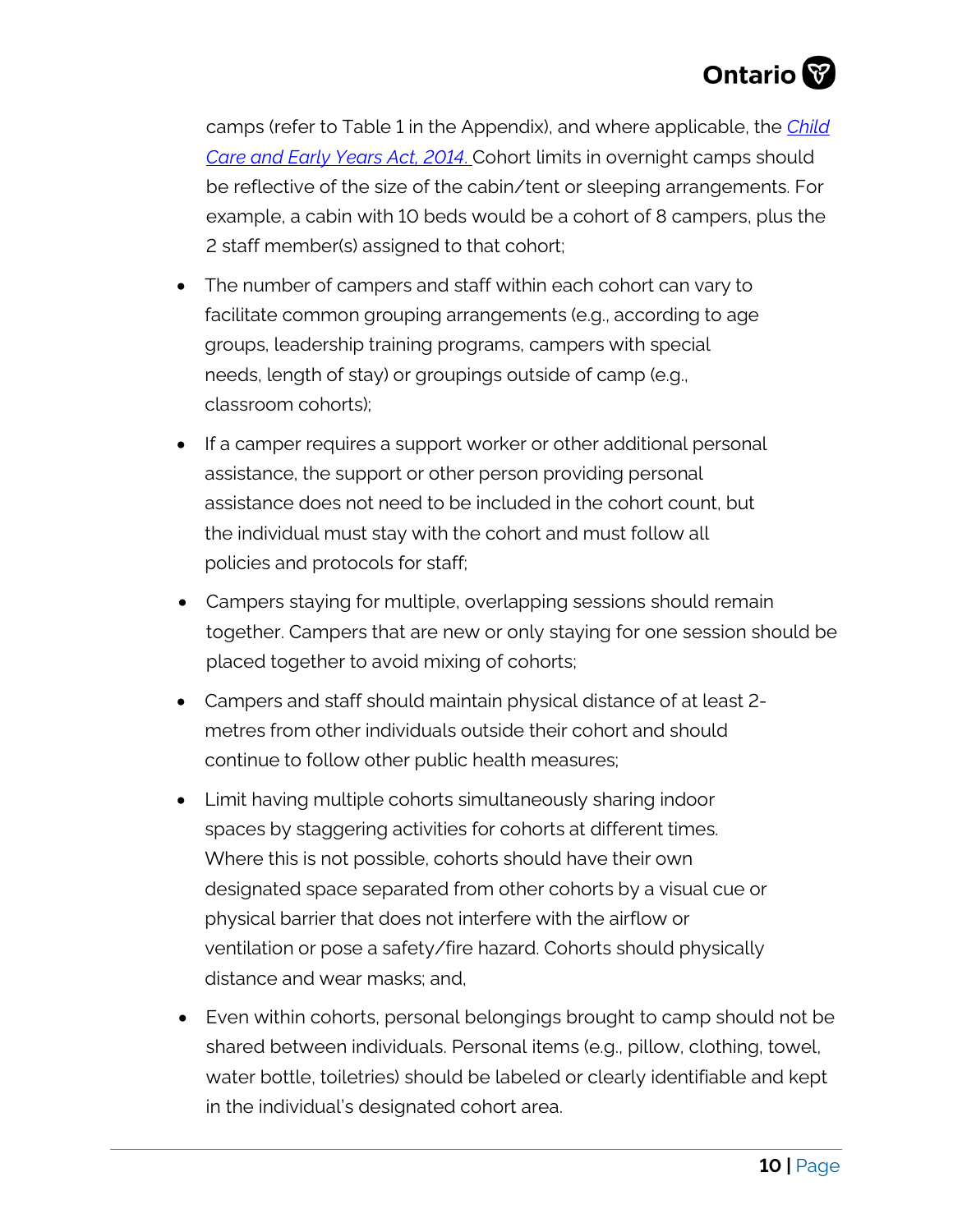

camps (refer to Table 1 in the Appendix), and where applicable, the *[Child](https://www.ontario.ca/laws/statute/14c11) [Care and Early Years Act, 2014](https://www.ontario.ca/laws/statute/14c11)*. Cohort limits in overnight camps should be reflective of the size of the cabin/tent or sleeping arrangements. For example, a cabin with 10 beds would be a cohort of 8 campers, plus the 2 staff member(s) assigned to that cohort;

- The number of campers and staff within each cohort can vary to facilitate common grouping arrangements (e.g., according to age groups, leadership training programs, campers with special needs, length of stay) or groupings outside of camp (e.g., classroom cohorts);
- If a camper requires a support worker or other additional personal assistance, the support or other person providing personal assistance does not need to be included in the cohort count, but the individual must stay with the cohort and must follow all policies and protocols for staff;
- Campers staying for multiple, overlapping sessions should remain together. Campers that are new or only staying for one session should be placed together to avoid mixing of cohorts;
- Campers and staff should maintain physical distance of at least 2 metres from other individuals outside their cohort and should continue to follow other public health measures;
- Limit having multiple cohorts simultaneously sharing indoor spaces by staggering activities for cohorts at different times. Where this is not possible, cohorts should have their own designated space separated from other cohorts by a visual cue or physical barrier that does not interfere with the airflow or ventilation or pose a safety/fire hazard. Cohorts should physically distance and wear masks; and,
- Even within cohorts, personal belongings brought to camp should not be shared between individuals. Personal items (e.g., pillow, clothing, towel, water bottle, toiletries) should be labeled or clearly identifiable and kept in the individual's designated cohort area.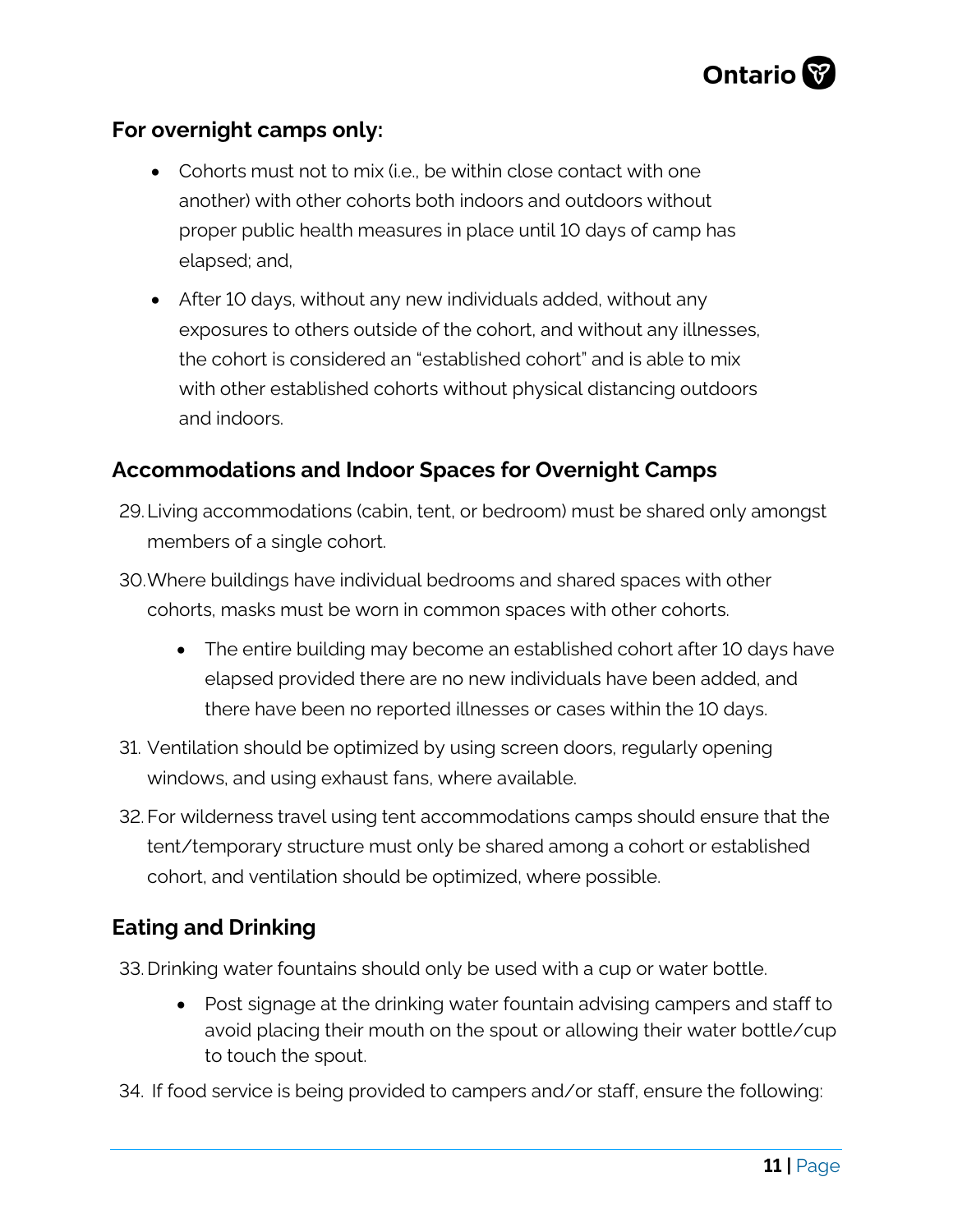

## **For overnight camps only:**

- Cohorts must not to mix (i.e., be within close contact with one another) with other cohorts both indoors and outdoors without proper public health measures in place until 10 days of camp has elapsed; and,
- After 10 days, without any new individuals added, without any exposures to others outside of the cohort, and without any illnesses, the cohort is considered an "established cohort" and is able to mix with other established cohorts without physical distancing outdoors and indoors.

## **Accommodations and Indoor Spaces for Overnight Camps**

- 29.Living accommodations (cabin, tent, or bedroom) must be shared only amongst members of a single cohort.
- 30.Where buildings have individual bedrooms and shared spaces with other cohorts, masks must be worn in common spaces with other cohorts.
	- The entire building may become an established cohort after 10 days have elapsed provided there are no new individuals have been added, and there have been no reported illnesses or cases within the 10 days.
- 31. Ventilation should be optimized by using screen doors, regularly opening windows, and using exhaust fans, where available.
- 32. For wilderness travel using tent accommodations camps should ensure that the tent/temporary structure must only be shared among a cohort or established cohort, and ventilation should be optimized, where possible.

## **Eating and Drinking**

33. Drinking water fountains should only be used with a cup or water bottle.

- Post signage at the drinking water fountain advising campers and staff to avoid placing their mouth on the spout or allowing their water bottle/cup to touch the spout.
- 34. If food service is being provided to campers and/or staff, ensure the following: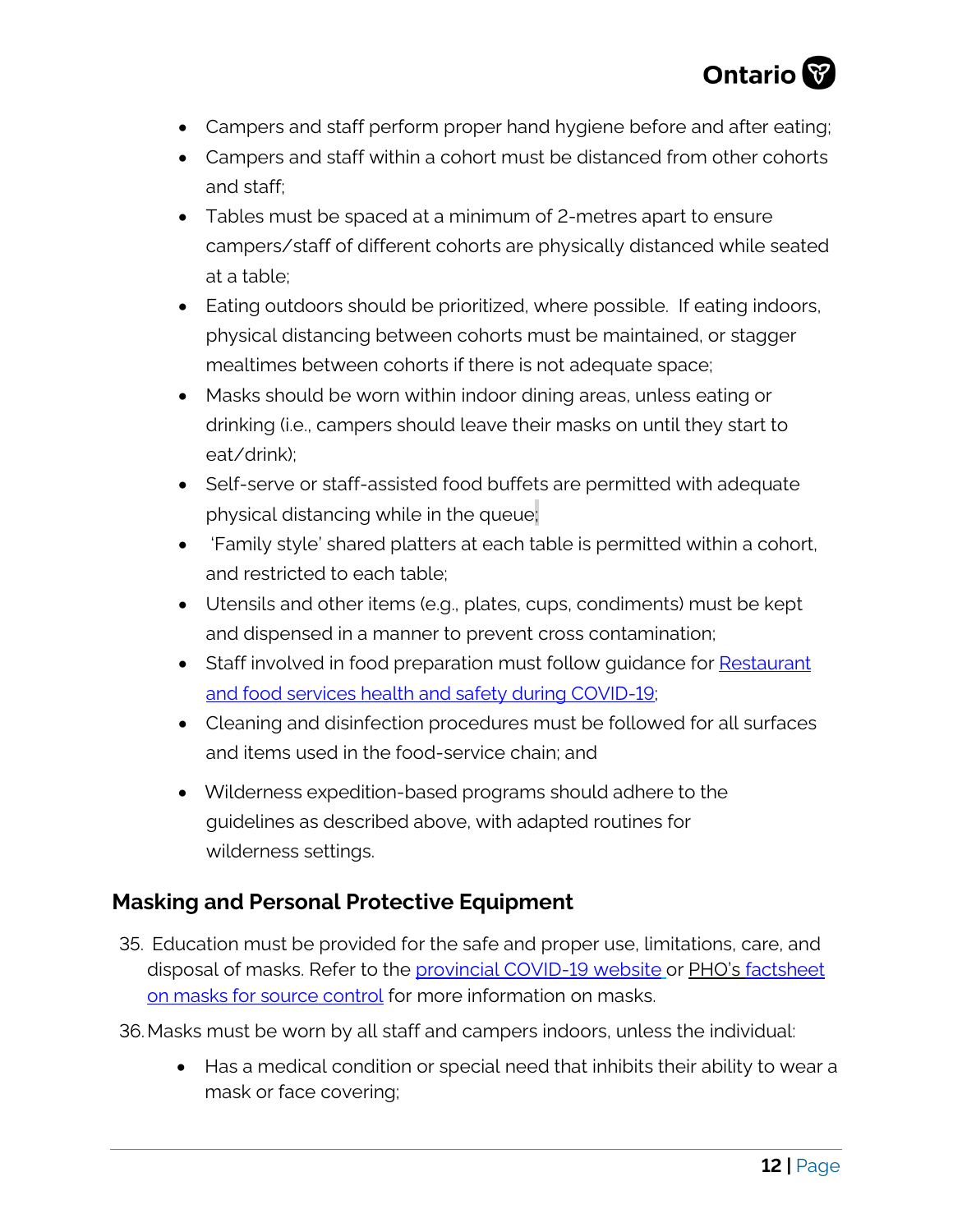

- Campers and staff perform proper hand hygiene before and after eating;
- Campers and staff within a cohort must be distanced from other cohorts and staff;
- Tables must be spaced at a minimum of 2-metres apart to ensure campers/staff of different cohorts are physically distanced while seated at a table;
- Eating outdoors should be prioritized, where possible. If eating indoors, physical distancing between cohorts must be maintained, or stagger mealtimes between cohorts if there is not adequate space;
- Masks should be worn within indoor dining areas, unless eating or drinking (i.e., campers should leave their masks on until they start to eat/drink);
- Self-serve or staff-assisted food buffets are permitted with adequate physical distancing while in the queue;
- 'Family style' shared platters at each table is permitted within a cohort, and restricted to each table;
- Utensils and other items (e.g., plates, cups, condiments) must be kept and dispensed in a manner to prevent cross contamination;
- Staff involved in food preparation must follow guidance for Restaurant [and food services health and safety during COVID-19;](https://www.ontario.ca/page/restaurant-and-food-services-health-and-safety-during-covid-19)
- Cleaning and disinfection procedures must be followed for all surfaces and items used in the food-service chain; and
- Wilderness expedition-based programs should adhere to the guidelines as described above, with adapted routines for wilderness settings.

# **Masking and Personal Protective Equipment**

- 35. Education must be provided for the safe and proper use, limitations, care, and disposal of masks. Refer to the [provincial COVID-19 website](https://www.ontario.ca/page/face-coverings-and-face-masks) or PHO's [factsheet](https://www.publichealthontario.ca/-/media/documents/ncov/factsheet/2020/05/factsheet-covid-19-masks-not-healthcare.pdf?sc_lang=en)  [on masks for source control](https://www.publichealthontario.ca/-/media/documents/ncov/factsheet/2020/05/factsheet-covid-19-masks-not-healthcare.pdf?sc_lang=en) for more information on masks.
- 36.Masks must be worn by all staff and campers indoors, unless the individual:
	- Has a medical condition or special need that inhibits their ability to wear a mask or face covering;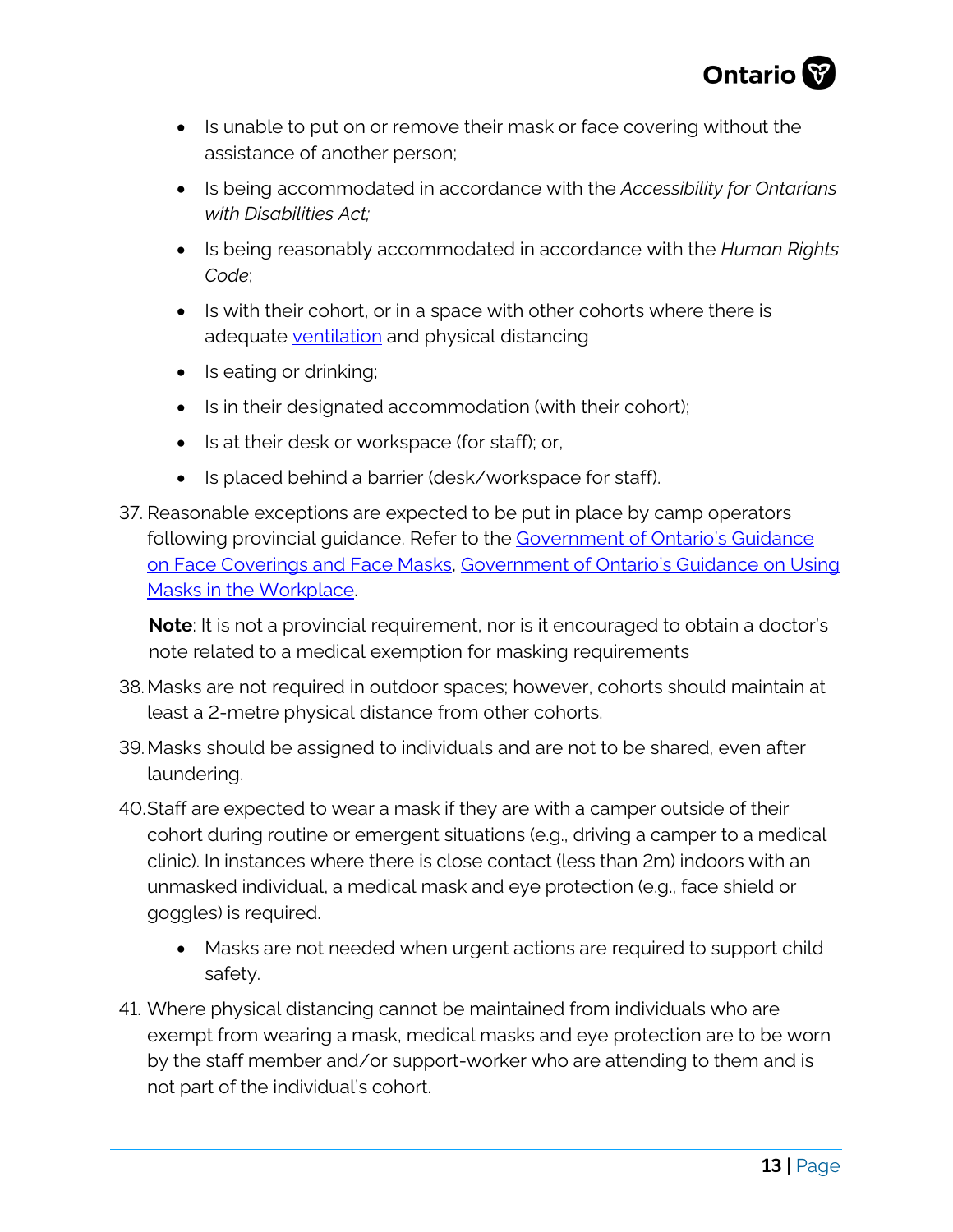

- Is unable to put on or remove their mask or face covering without the assistance of another person;
- Is being accommodated in accordance with the *Accessibility for Ontarians with Disabilities Act;*
- Is being reasonably accommodated in accordance with the *Human Rights Code*;
- Is with their cohort, or in a space with other cohorts where there is adequate [ventilation](https://www.publichealthontario.ca/-/media/documents/ncov/ipac/2020/09/covid-19-hvac-systems-in-buildings.pdf?la=en) and physical distancing
- Is eating or drinking;
- Is in their designated accommodation (with their cohort);
- Is at their desk or workspace (for staff); or,
- Is placed behind a barrier (desk/workspace for staff).
- 37. Reasonable exceptions are expected to be put in place by camp operators following provincial guidance. Refer to the Government of Ontario's Guidance [on Face Coverings and Face Masks,](https://www.ontario.ca/page/face-coverings-and-face-masks#section-0) [Government of Ontario's Guidance on Using](https://www.ontario.ca/page/using-masks-workplace)  [Masks in the Workplace.](https://www.ontario.ca/page/using-masks-workplace)

**Note**: It is not a provincial requirement, nor is it encouraged to obtain a doctor's note related to a medical exemption for masking requirements

- 38.Masks are not required in outdoor spaces; however, cohorts should maintain at least a 2-metre physical distance from other cohorts.
- 39.Masks should be assigned to individuals and are not to be shared, even after laundering.
- 40.Staff are expected to wear a mask if they are with a camper outside of their cohort during routine or emergent situations (e.g., driving a camper to a medical clinic). In instances where there is close contact (less than 2m) indoors with an unmasked individual, a medical mask and eye protection (e.g., face shield or goggles) is required.
	- Masks are not needed when urgent actions are required to support child safety.
- 41. Where physical distancing cannot be maintained from individuals who are exempt from wearing a mask, medical masks and eye protection are to be worn by the staff member and/or support-worker who are attending to them and is not part of the individual's cohort.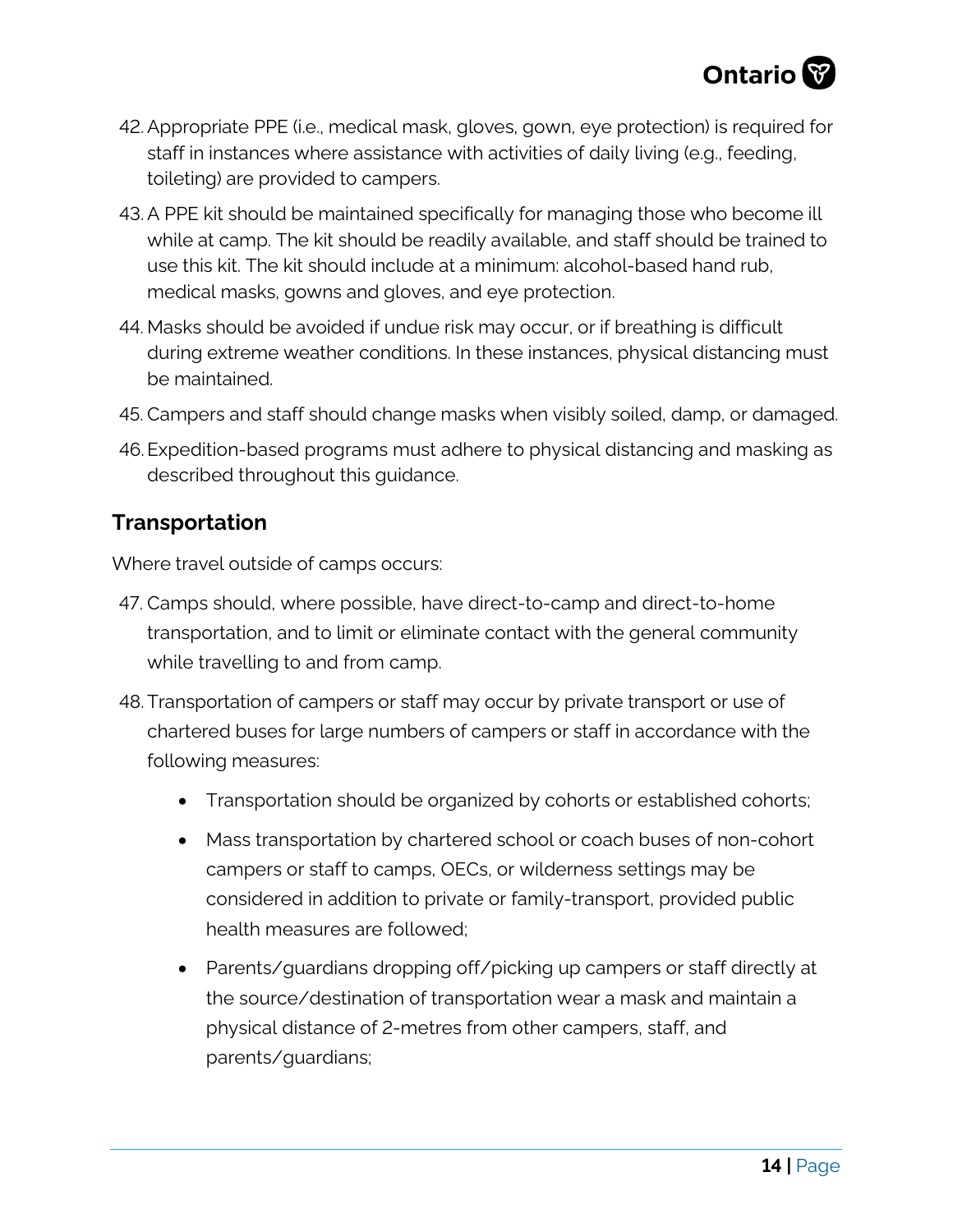

- 42.Appropriate PPE (i.e., medical mask, gloves, gown, eye protection) is required for staff in instances where assistance with activities of daily living (e.g., feeding, toileting) are provided to campers.
- 43.A PPE kit should be maintained specifically for managing those who become ill while at camp. The kit should be readily available, and staff should be trained to use this kit. The kit should include at a minimum: alcohol-based hand rub, medical masks, gowns and gloves, and eye protection.
- 44. Masks should be avoided if undue risk may occur, or if breathing is difficult during extreme weather conditions. In these instances, physical distancing must be maintained.
- 45. Campers and staff should change masks when visibly soiled, damp, or damaged.
- 46.Expedition-based programs must adhere to physical distancing and masking as described throughout this guidance.

#### **Transportation**

Where travel outside of camps occurs:

- 47. Camps should, where possible, have direct-to-camp and direct-to-home transportation, and to limit or eliminate contact with the general community while travelling to and from camp.
- 48.Transportation of campers or staff may occur by private transport or use of chartered buses for large numbers of campers or staff in accordance with the following measures:
	- Transportation should be organized by cohorts or established cohorts;
	- Mass transportation by chartered school or coach buses of non-cohort campers or staff to camps, OECs, or wilderness settings may be considered in addition to private or family-transport, provided public health measures are followed;
	- Parents/guardians dropping off/picking up campers or staff directly at the source/destination of transportation wear a mask and maintain a physical distance of 2-metres from other campers, staff, and parents/guardians;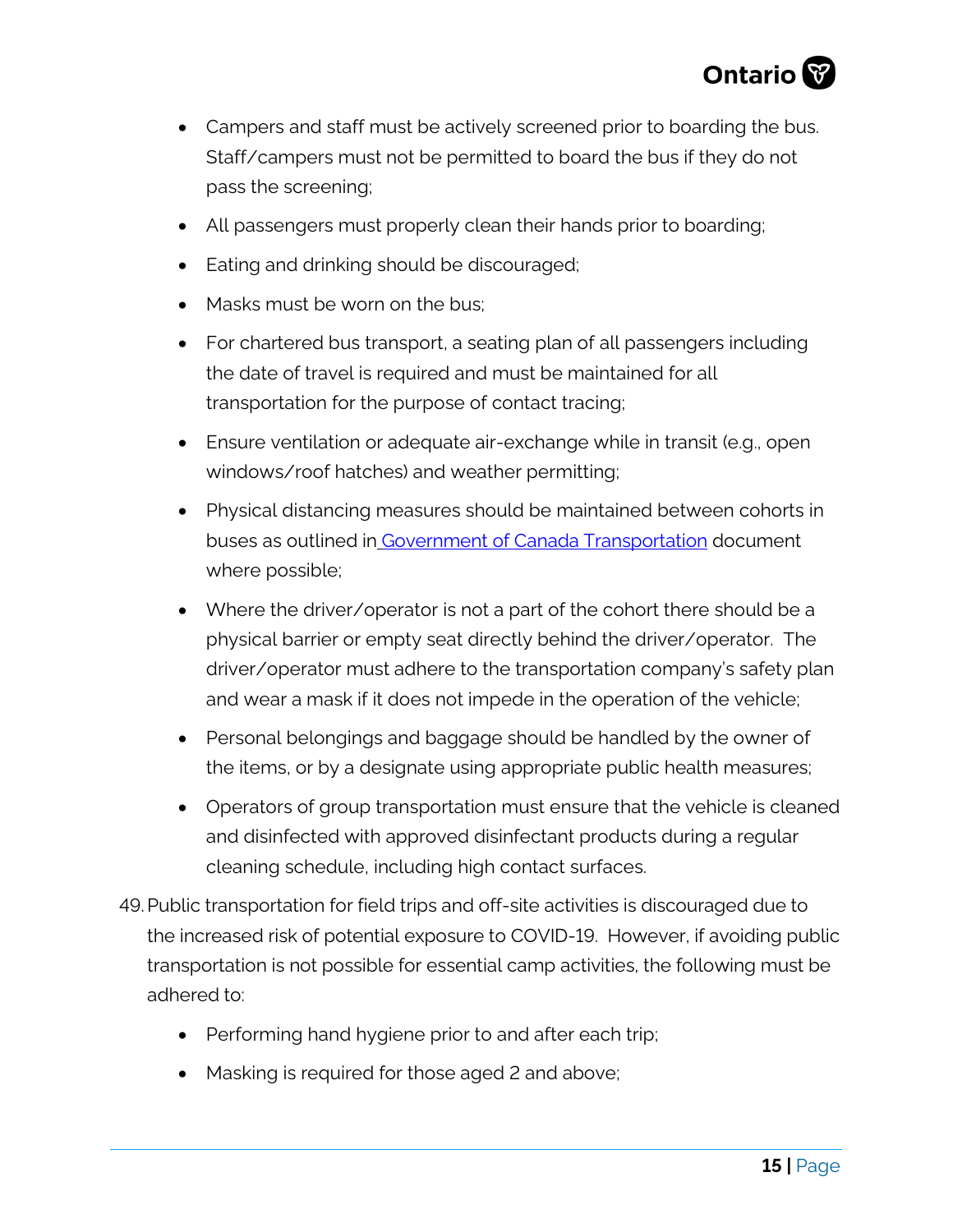

- Campers and staff must be actively screened prior to boarding the bus. Staff/campers must not be permitted to board the bus if they do not pass the screening;
- All passengers must properly clean their hands prior to boarding;
- Eating and drinking should be discouraged;
- Masks must be worn on the bus;
- For chartered bus transport, a seating plan of all passengers including the date of travel is required and must be maintained for all transportation for the purpose of contact tracing;
- Ensure ventilation or adequate air-exchange while in transit (e.g., open windows/roof hatches) and weather permitting;
- Physical distancing measures should be maintained between cohorts in buses as outlined in [Government of Canada Transportation](https://tc.canada.ca/en/initiatives/covid-19-measures-updates-guidance-issued-transport-canada/federal-guidance-school-bus-operations-during-covid-19-pandemic) document where possible;
- Where the driver/operator is not a part of the cohort there should be a physical barrier or empty seat directly behind the driver/operator. The driver/operator must adhere to the transportation company's safety plan and wear a mask if it does not impede in the operation of the vehicle;
- Personal belongings and baggage should be handled by the owner of the items, or by a designate using appropriate public health measures;
- Operators of group transportation must ensure that the vehicle is cleaned and disinfected with approved disinfectant products during a regular cleaning schedule, including high contact surfaces.
- 49.Public transportation for field trips and off-site activities is discouraged due to the increased risk of potential exposure to COVID-19. However, if avoiding public transportation is not possible for essential camp activities, the following must be adhered to:
	- Performing hand hygiene prior to and after each trip;
	- Masking is required for those aged 2 and above;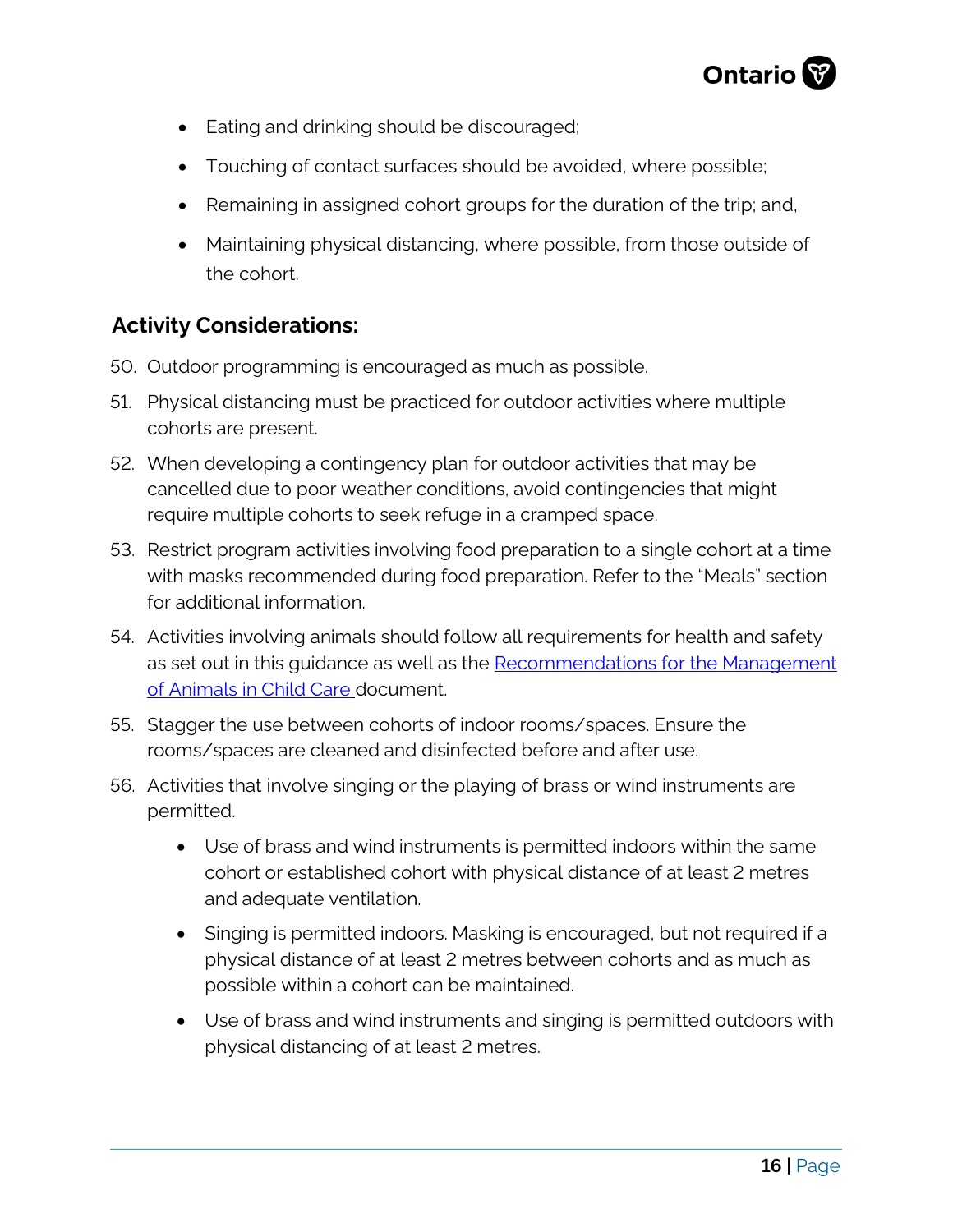

- Eating and drinking should be discouraged;
- Touching of contact surfaces should be avoided, where possible;
- Remaining in assigned cohort groups for the duration of the trip; and,
- Maintaining physical distancing, where possible, from those outside of the cohort.

# **Activity Considerations:**

- 50. Outdoor programming is encouraged as much as possible.
- 51. Physical distancing must be practiced for outdoor activities where multiple cohorts are present.
- 52. When developing a contingency plan for outdoor activities that may be cancelled due to poor weather conditions, avoid contingencies that might require multiple cohorts to seek refuge in a cramped space.
- 53. Restrict program activities involving food preparation to a single cohort at a time with masks recommended during food preparation. Refer to the "Meals" section for additional information.
- 54. Activities involving animals should follow all requirements for health and safety as set out in this guidance as well as the [Recommendations for the Management](https://www.health.gov.on.ca/en/pro/programs/publichealth/oph_standards/docs/reference/Recommendations_For_The_Management_Of_Animals_In_Child_Care_Settings_2018_en.pdf)  [of Animals in Child Care](https://www.health.gov.on.ca/en/pro/programs/publichealth/oph_standards/docs/reference/Recommendations_For_The_Management_Of_Animals_In_Child_Care_Settings_2018_en.pdf) document.
- 55. Stagger the use between cohorts of indoor rooms/spaces. Ensure the rooms/spaces are cleaned and disinfected before and after use.
- 56. Activities that involve singing or the playing of brass or wind instruments are permitted.
	- Use of brass and wind instruments is permitted indoors within the same cohort or established cohort with physical distance of at least 2 metres and adequate ventilation.
	- Singing is permitted indoors. Masking is encouraged, but not required if a physical distance of at least 2 metres between cohorts and as much as possible within a cohort can be maintained.
	- Use of brass and wind instruments and singing is permitted outdoors with physical distancing of at least 2 metres.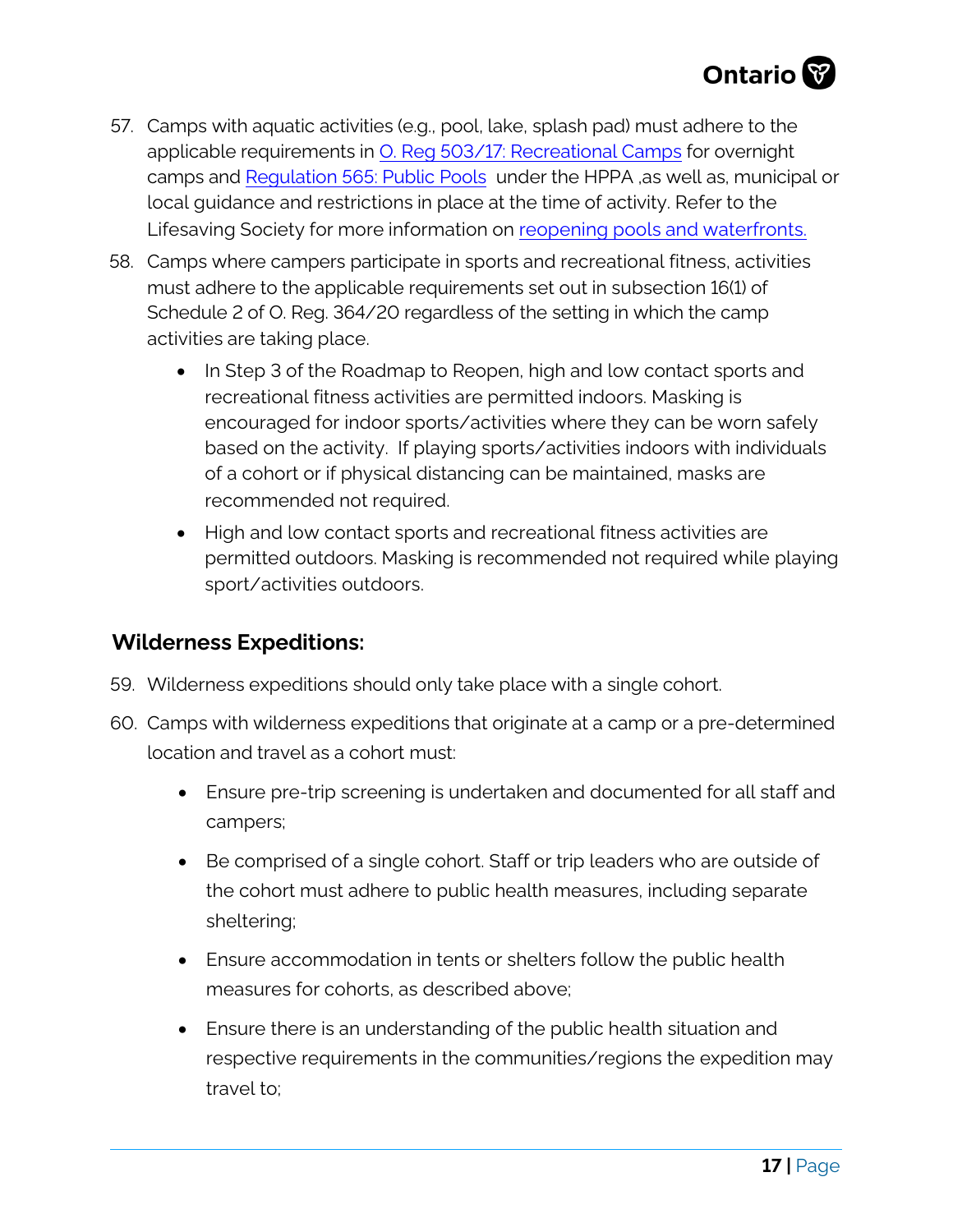- 57. Camps with aquatic activities (e.g., pool, lake, splash pad) must adhere to the applicable requirements in [O. Reg 503/17: Recreational Camps](https://www.ontario.ca/laws/regulation/170503) for overnight camps and Regulation 565: [Public Pools](https://www.ontario.ca/laws/regulation/900565) under the HPPA ,as well as, municipal or local guidance and restrictions in place at the time of activity. Refer to the Lifesaving Society for more information on [reopening pools and waterfronts](https://www.lifesavingsociety.com/media/333134/98guide_reopening%20pools_waterfronts_updated%20november%202020.pdf).
- 58. Camps where campers participate in sports and recreational fitness, activities must adhere to the applicable requirements set out in subsection 16(1) of Schedule 2 of O. Reg. 364/20 regardless of the setting in which the camp activities are taking place.
	- In Step 3 of the Roadmap to Reopen, high and low contact sports and recreational fitness activities are permitted indoors. Masking is encouraged for indoor sports/activities where they can be worn safely based on the activity. If playing sports/activities indoors with individuals of a cohort or if physical distancing can be maintained, masks are recommended not required.
	- High and low contact sports and recreational fitness activities are permitted outdoors. Masking is recommended not required while playing sport/activities outdoors.

## **Wilderness Expeditions:**

- 59. Wilderness expeditions should only take place with a single cohort.
- 60. Camps with wilderness expeditions that originate at a camp or a pre-determined location and travel as a cohort must:
	- Ensure pre-trip screening is undertaken and documented for all staff and campers;
	- Be comprised of a single cohort. Staff or trip leaders who are outside of the cohort must adhere to public health measures, including separate sheltering;
	- Ensure accommodation in tents or shelters follow the public health measures for cohorts, as described above;
	- Ensure there is an understanding of the public health situation and respective requirements in the communities/regions the expedition may travel to;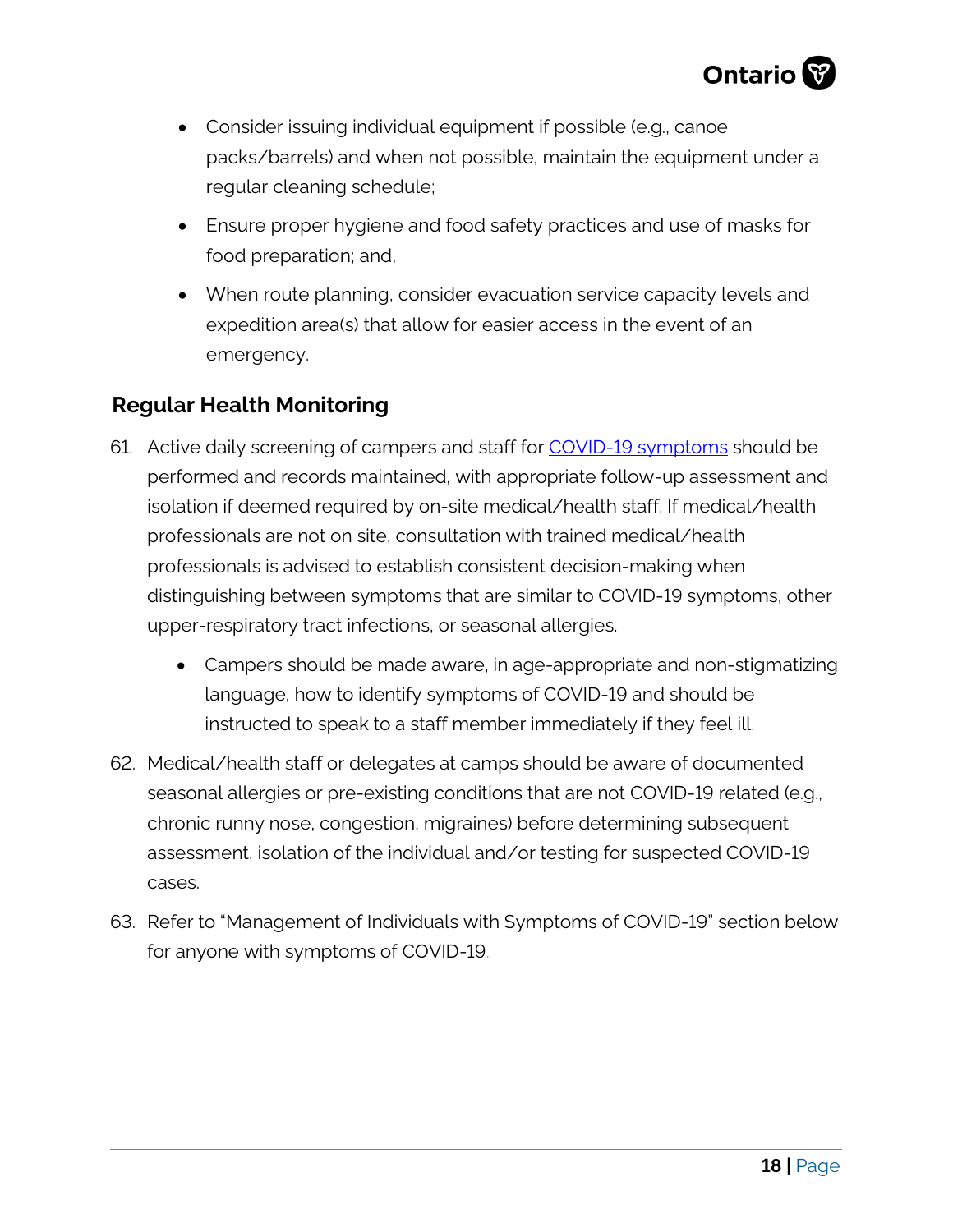

- Consider issuing individual equipment if possible (e.g., canoe packs/barrels) and when not possible, maintain the equipment under a regular cleaning schedule;
- Ensure proper hygiene and food safety practices and use of masks for food preparation; and,
- When route planning, consider evacuation service capacity levels and expedition area(s) that allow for easier access in the event of an emergency.

## **Regular Health Monitoring**

- 61. Active daily screening of campers and staff for [COVID-19 symptoms](https://www.health.gov.on.ca/en/pro/programs/publichealth/coronavirus/docs/2019_reference_doc_symptoms.pdf) should be performed and records maintained, with appropriate follow-up assessment and isolation if deemed required by on-site medical/health staff. If medical/health professionals are not on site, consultation with trained medical/health professionals is advised to establish consistent decision-making when distinguishing between symptoms that are similar to COVID-19 symptoms, other upper-respiratory tract infections, or seasonal allergies.
	- Campers should be made aware, in age-appropriate and non-stigmatizing language, how to identify symptoms of COVID-19 and should be instructed to speak to a staff member immediately if they feel ill.
- 62. Medical/health staff or delegates at camps should be aware of documented seasonal allergies or pre-existing conditions that are not COVID-19 related (e.g., chronic runny nose, congestion, migraines) before determining subsequent assessment, isolation of the individual and/or testing for suspected COVID-19 cases.
- 63. Refer to "Management of Individuals with Symptoms of COVID-19" section below for anyone with symptoms of COVID-19.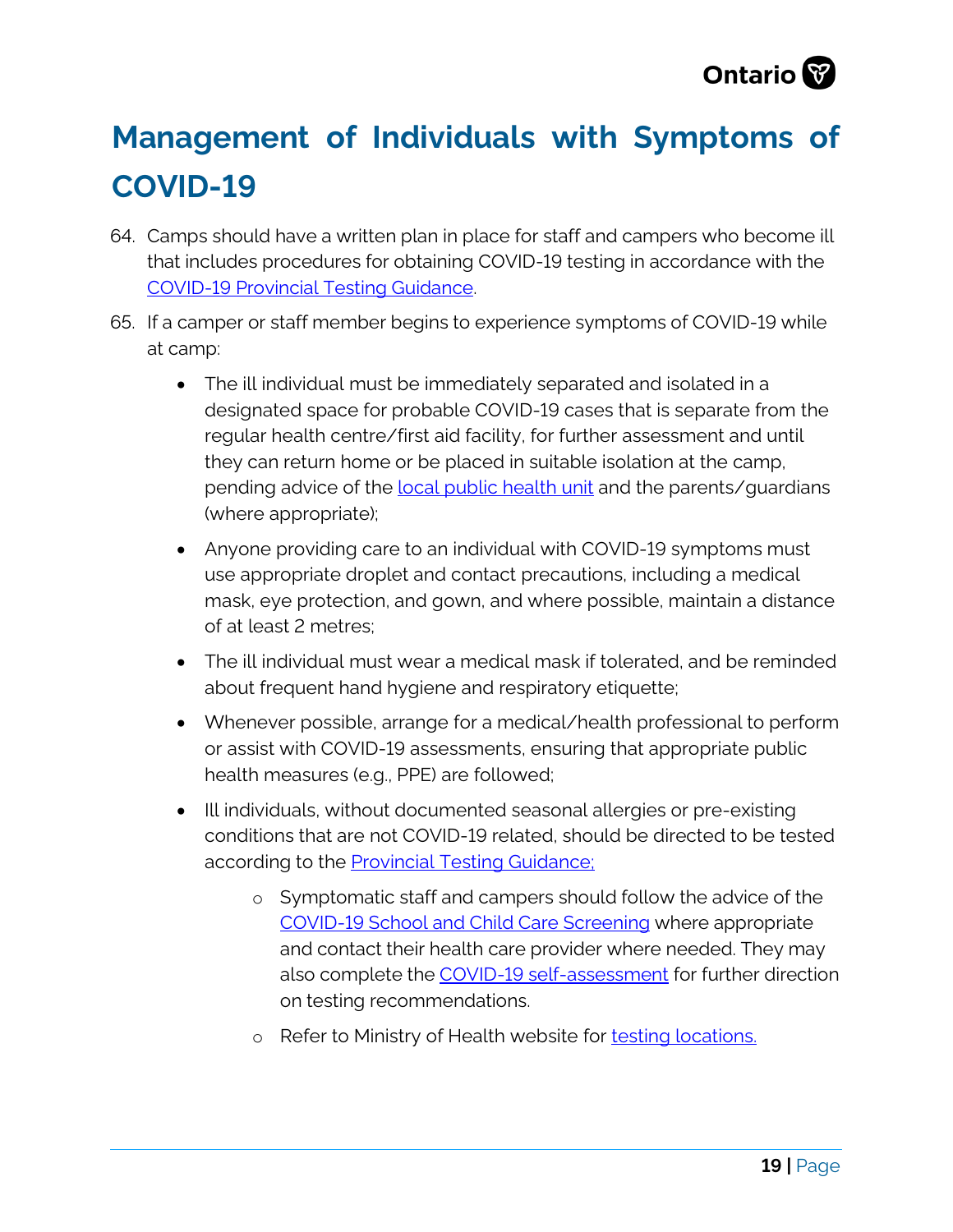

# **Management of Individuals with Symptoms of COVID-19**

- 64. Camps should have a written plan in place for staff and campers who become ill that includes procedures for obtaining COVID-19 testing in accordance with the [COVID-19 Provincial Testing Guidance.](https://www.health.gov.on.ca/en/pro/programs/publichealth/coronavirus/docs/2019_testing_guidance.pdf)
- 65. If a camper or staff member begins to experience symptoms of COVID-19 while at camp:
	- The ill individual must be immediately separated and isolated in a designated space for probable COVID-19 cases that is separate from the regular health centre/first aid facility, for further assessment and until they can return home or be placed in suitable isolation at the camp, pending advice of the [local public health unit](https://www.phdapps.health.gov.on.ca/phulocator/) and the parents/guardians (where appropriate);
	- Anyone providing care to an individual with COVID-19 symptoms must use appropriate droplet and contact precautions, including a medical mask, eye protection, and gown, and where possible, maintain a distance of at least 2 metres;
	- The ill individual must wear a medical mask if tolerated, and be reminded about frequent hand hygiene and respiratory etiquette;
	- Whenever possible, arrange for a medical/health professional to perform or assist with COVID-19 assessments, ensuring that appropriate public health measures (e.g., PPE) are followed;
	- Ill individuals, without documented seasonal allergies or pre-existing conditions that are not COVID-19 related, should be directed to be tested according to the **Provincial Testing Guidance**;
		- o Symptomatic staff and campers should follow the advice of the [COVID-19 School and Child Care Screening](https://covid-19.ontario.ca/school-screening/) where appropriate and contact their health care provider where needed. They may also complete the [COVID-19 self-assessment](https://covid-19.ontario.ca/self-assessment/) for further direction on testing recommendations.
		- o Refer to Ministry of Health website for [testing locations.](https://covid-19.ontario.ca/assessment-centre-locations)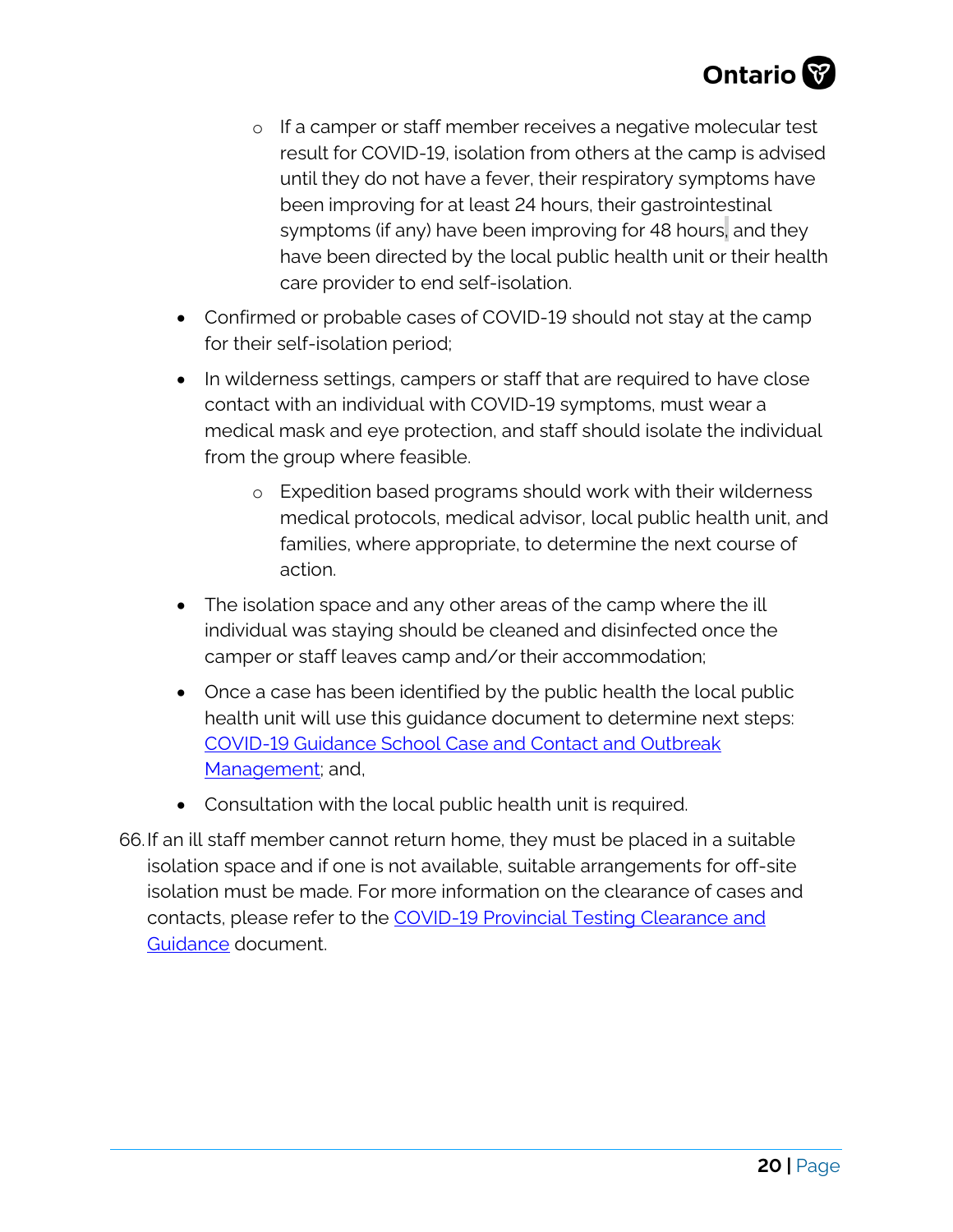

- o If a camper or staff member receives a negative molecular test result for COVID-19, isolation from others at the camp is advised until they do not have a fever, their respiratory symptoms have been improving for at least 24 hours, their gastrointestinal symptoms (if any) have been improving for 48 hours, and they have been directed by the local public health unit or their health care provider to end self-isolation.
- Confirmed or probable cases of COVID-19 should not stay at the camp for their self-isolation period;
- In wilderness settings, campers or staff that are required to have close contact with an individual with COVID-19 symptoms, must wear a medical mask and eye protection, and staff should isolate the individual from the group where feasible.
	- o Expedition based programs should work with their wilderness medical protocols, medical advisor, local public health unit, and families, where appropriate, to determine the next course of action.
- The isolation space and any other areas of the camp where the ill individual was staying should be cleaned and disinfected once the camper or staff leaves camp and/or their accommodation;
- Once a case has been identified by the public health the local public health unit will use this guidance document to determine next steps: [COVID-19 Guidance School Case and Contact and Outbreak](https://www.ontario.ca/page/covid-19-guidance-school-outbreak-management)  [Management;](https://www.ontario.ca/page/covid-19-guidance-school-outbreak-management) and,
- Consultation with the local public health unit is required.
- 66.If an ill staff member cannot return home, they must be placed in a suitable isolation space and if one is not available, suitable arrangements for off-site isolation must be made. For more information on the clearance of cases and contacts, please refer to the [COVID-19 Provincial Testing Clearance and](https://www.health.gov.on.ca/en/pro/programs/publichealth/coronavirus/docs/2019_testing_guidance.pdf)  [Guidance](https://www.health.gov.on.ca/en/pro/programs/publichealth/coronavirus/docs/2019_testing_guidance.pdf) document.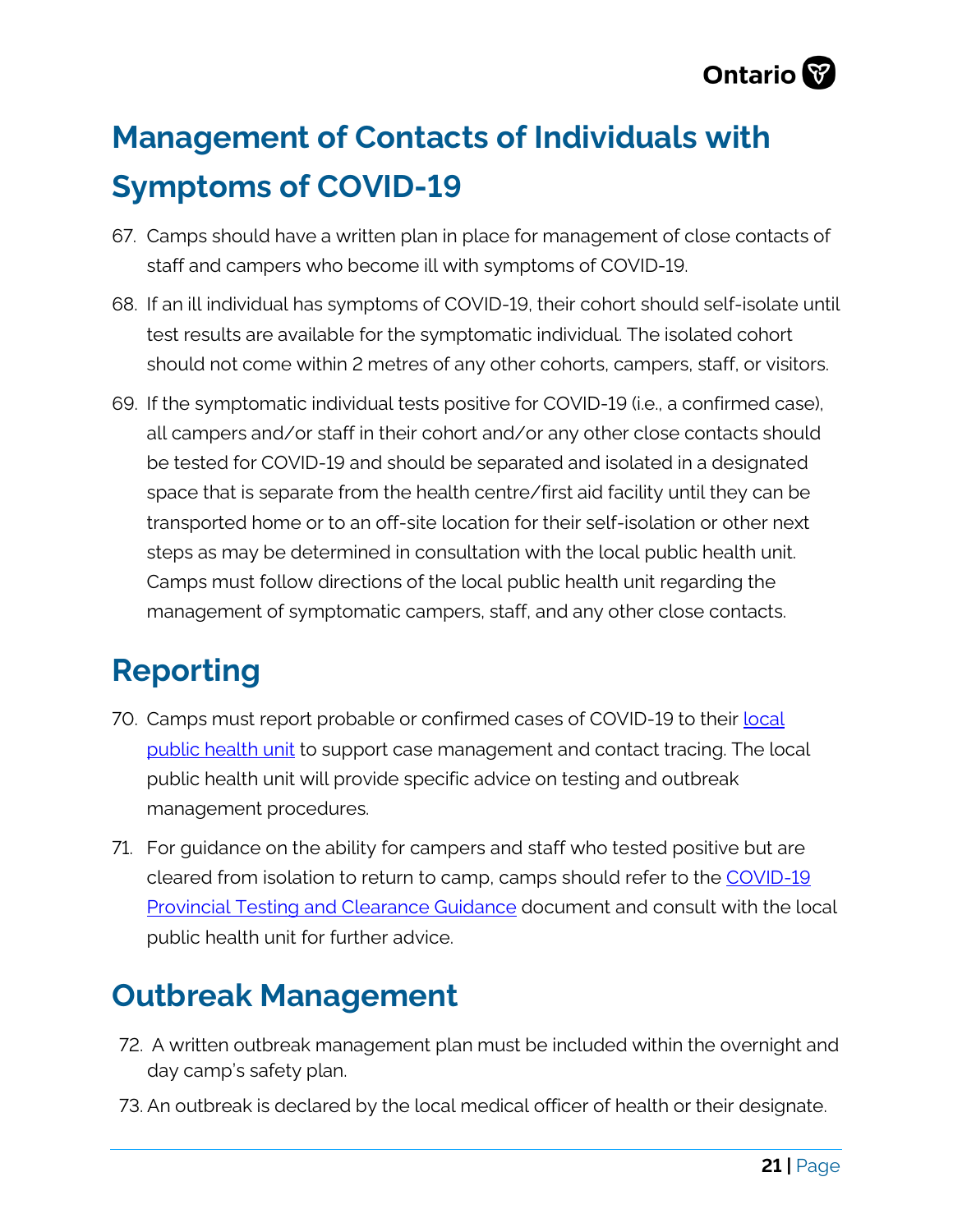

# **Management of Contacts of Individuals with Symptoms of COVID-19**

- 67. Camps should have a written plan in place for management of close contacts of staff and campers who become ill with symptoms of COVID-19.
- 68. If an ill individual has symptoms of COVID-19, their cohort should self-isolate until test results are available for the symptomatic individual. The isolated cohort should not come within 2 metres of any other cohorts, campers, staff, or visitors.
- 69. If the symptomatic individual tests positive for COVID-19 (i.e., a confirmed case), all campers and/or staff in their cohort and/or any other close contacts should be tested for COVID-19 and should be separated and isolated in a designated space that is separate from the health centre/first aid facility until they can be transported home or to an off-site location for their self-isolation or other next steps as may be determined in consultation with the local public health unit. Camps must follow directions of the local public health unit regarding the management of symptomatic campers, staff, and any other close contacts.

# **Reporting**

- 70. Camps must report probable or confirmed cases of COVID-19 to their local [public health unit](https://www.phdapps.health.gov.on.ca/PHULocator/) to support case management and contact tracing. The local public health unit will provide specific advice on testing and outbreak management procedures.
- 71. For guidance on the ability for campers and staff who tested positive but are cleared from isolation to return to camp, camps should refer to the [COVID-19](https://www.health.gov.on.ca/en/pro/programs/publichealth/coronavirus/docs/2019_testing_guidance.pdf)  [Provincial Testing and Clearance Guidance](https://www.health.gov.on.ca/en/pro/programs/publichealth/coronavirus/docs/2019_testing_guidance.pdf) document and consult with the local public health unit for further advice.

# **Outbreak Management**

- 72. A written outbreak management plan must be included within the overnight and day camp's safety plan.
- 73. An outbreak is declared by the local medical officer of health or their designate.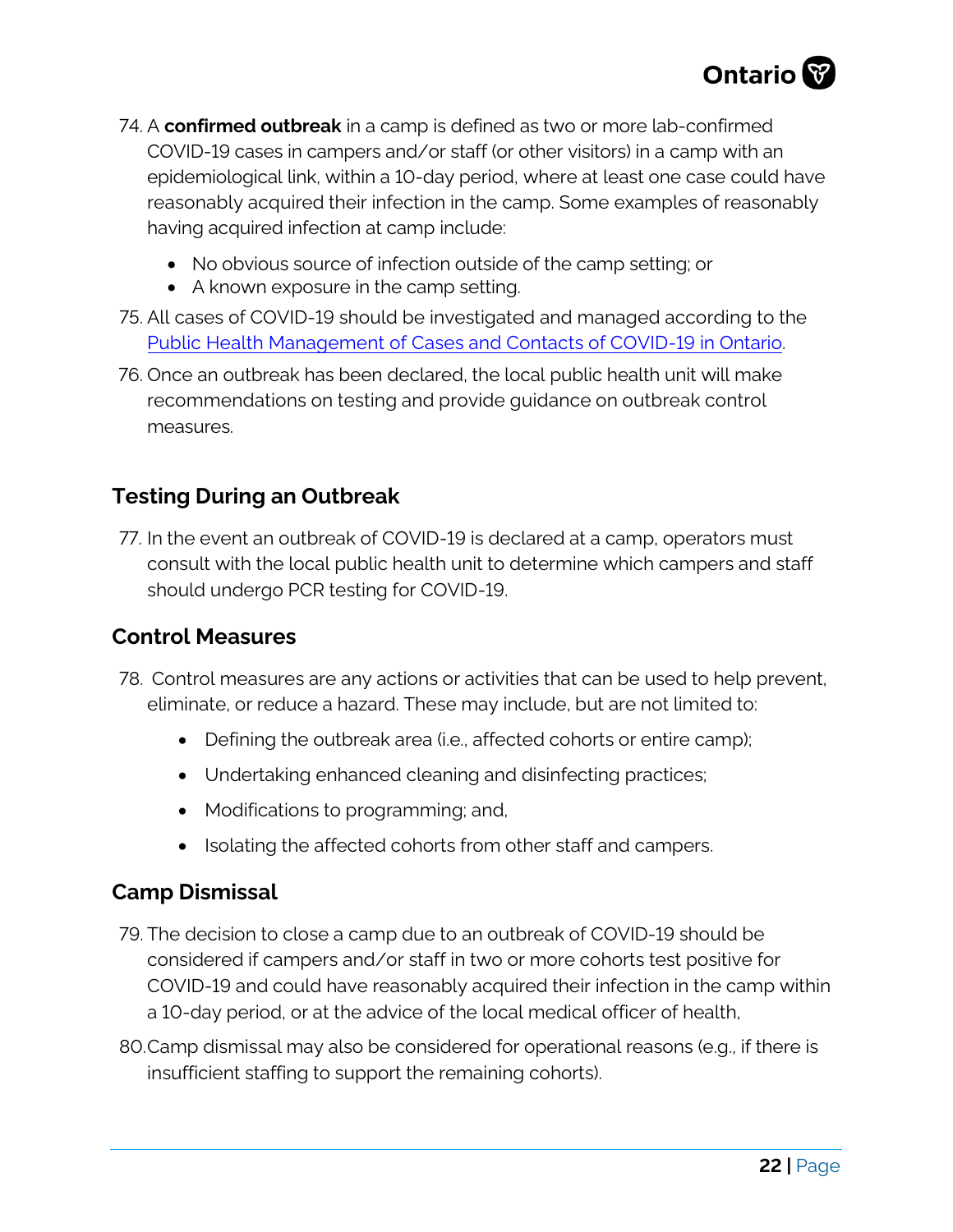

- 74. A **confirmed outbreak** in a camp is defined as two or more lab-confirmed COVID-19 cases in campers and/or staff (or other visitors) in a camp with an epidemiological link, within a 10-day period, where at least one case could have reasonably acquired their infection in the camp. Some examples of reasonably having acquired infection at camp include:
	- No obvious source of infection outside of the camp setting; or
	- A known exposure in the camp setting.
- 75. All cases of COVID-19 should be investigated and managed according to the Public Health Management of Cases and [Contacts of COVID-19 in Ontario.](https://www.health.gov.on.ca/en/pro/programs/publichealth/coronavirus/docs/2019_PH_Mgmt_guidance.pdf)
- 76. Once an outbreak has been declared, the local public health unit will make recommendations on testing and provide guidance on outbreak control measures.

## **Testing During an Outbreak**

77. In the event an outbreak of COVID-19 is declared at a camp, operators must consult with the local public health unit to determine which campers and staff should undergo PCR testing for COVID-19.

## **Control Measures**

- 78. Control measures are any actions or activities that can be used to help prevent, eliminate, or reduce a hazard. These may include, but are not limited to:
	- Defining the outbreak area (i.e., affected cohorts or entire camp);
	- Undertaking enhanced cleaning and disinfecting practices;
	- Modifications to programming; and,
	- Isolating the affected cohorts from other staff and campers.

## **Camp Dismissal**

- 79. The decision to close a camp due to an outbreak of COVID-19 should be considered if campers and/or staff in two or more cohorts test positive for COVID-19 and could have reasonably acquired their infection in the camp within a 10-day period, or at the advice of the local medical officer of health,
- 80.Camp dismissal may also be considered for operational reasons (e.g., if there is insufficient staffing to support the remaining cohorts).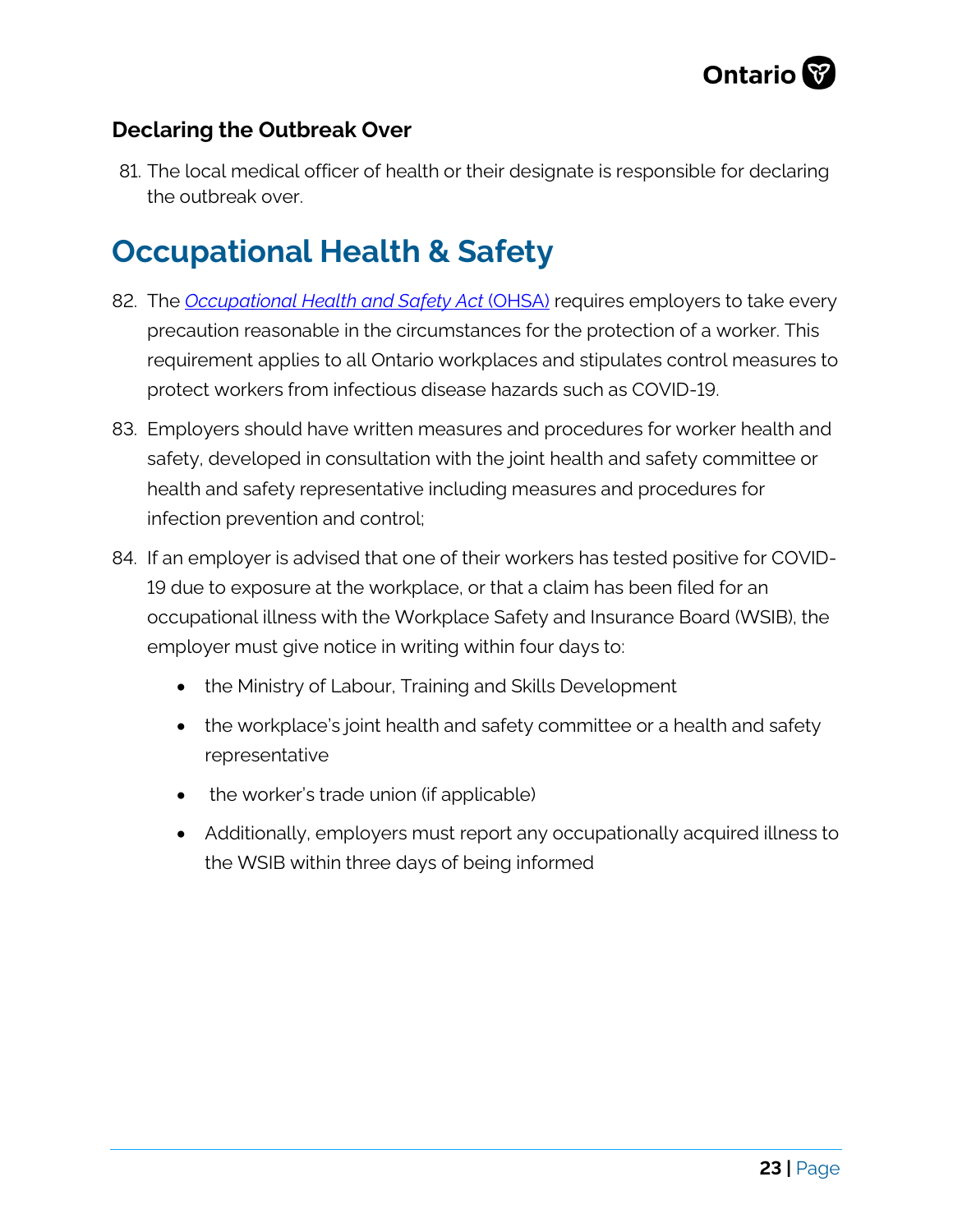

## **Declaring the Outbreak Over**

81. The local medical officer of health or their designate is responsible for declaring the outbreak over.

# **Occupational Health & Safety**

- 82. The *[Occupational Health and Safety Act](https://www.ontario.ca/laws/statute/90o01)* (OHSA) requires employers to take every precaution reasonable in the circumstances for the protection of a worker. This requirement applies to all Ontario workplaces and stipulates control measures to protect workers from infectious disease hazards such as COVID-19.
- 83. Employers should have written measures and procedures for worker health and safety, developed in consultation with the joint health and safety committee or health and safety representative including measures and procedures for infection prevention and control;
- 84. If an employer is advised that one of their workers has tested positive for COVID-19 due to exposure at the workplace, or that a claim has been filed for an occupational illness with the Workplace Safety and Insurance Board (WSIB), the employer must give notice in writing within four days to:
	- the Ministry of Labour, Training and Skills Development
	- the workplace's joint health and safety committee or a health and safety representative
	- the worker's trade union (if applicable)
	- Additionally, employers must report any occupationally acquired illness to the WSIB within three days of being informed